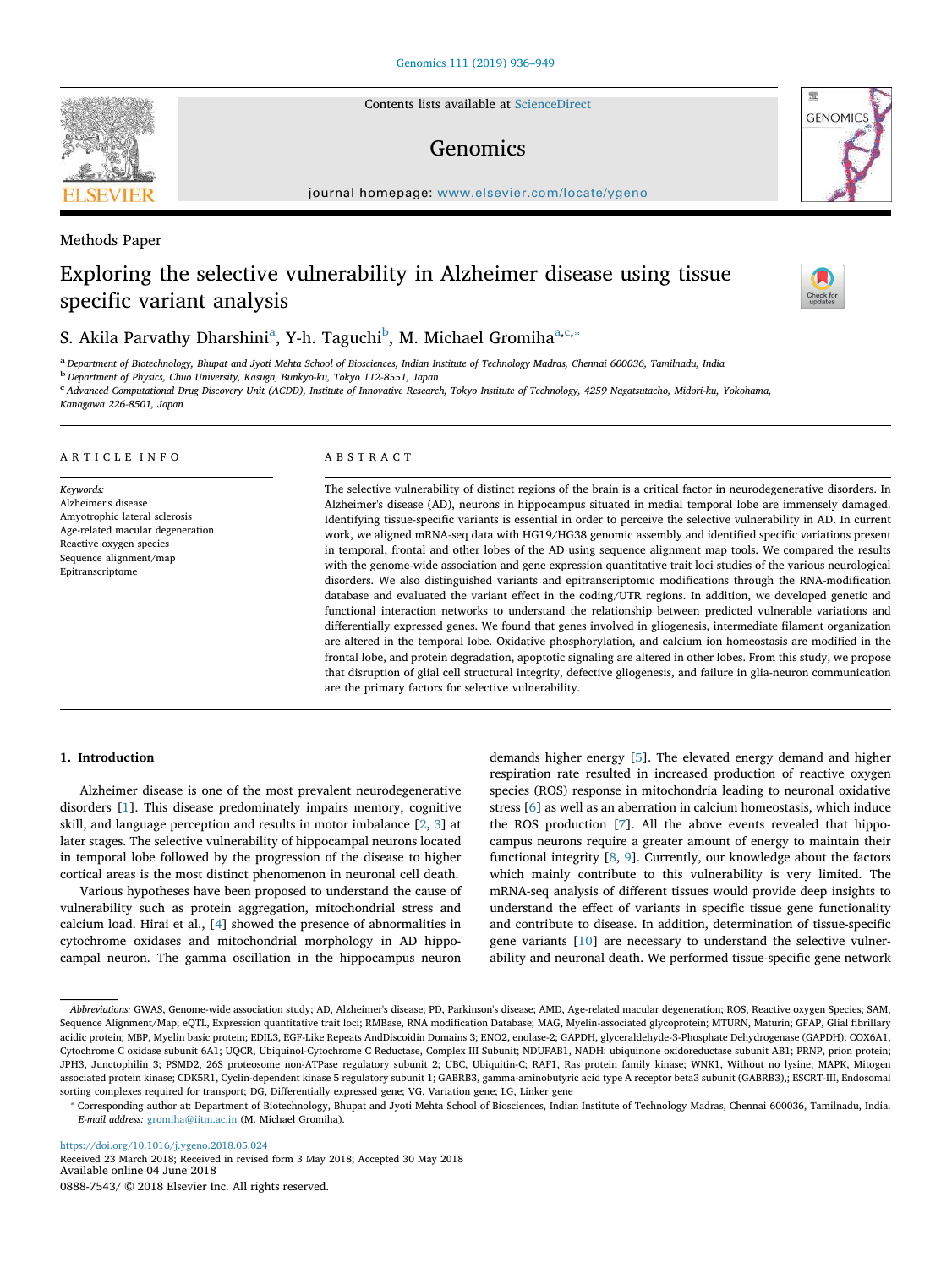Contents lists available at ScienceDirect

## Genomics

journal homepage: www.elsevier.com/locate/ygeno

Methods Paper

# Exploring the selective vulnerability in Alzheimer disease using tissue specific variant analysis

S. Akila Parvathy Dharshini<sup>a</sup>, Y-h. Taguchi<sup>b</sup>, M. Michael Gromiha<sup>a,c,</sup>\*

a *Department of Biotechnology, Bhupat and Jyoti Mehta School of Biosciences, Indian Institute of Technology Madras, Chennai 600036, Tamilnadu, India*

b *Department of Physics, Chuo University, Kasuga, Bunkyo-ku, Tokyo 112-8551, Japan*

c *Advanced Computational Drug Discovery Unit (ACDD), Institute of Innovative Research, Tokyo Institute of Technology, 4259 Nagatsutacho, Midori-ku, Yokohama, Kanagawa 226-8501, Japan*

## ARTICLE INFO

*Keywords:* Alzheimer's disease Amyotrophic lateral sclerosis Age-related macular degeneration Reactive oxygen species Sequence alignment/map Epitranscriptome

#### ABSTRACT

The selective vulnerability of distinct regions of the brain is a critical factor in neurodegenerative disorders. In Alzheimer's disease (AD), neurons in hippocampus situated in medial temporal lobe are immensely damaged. Identifying tissue-specific variants is essential in order to perceive the selective vulnerability in AD. In current work, we aligned mRNA-seq data with HG19/HG38 genomic assembly and identified specific variations present in temporal, frontal and other lobes of the AD using sequence alignment map tools. We compared the results with the genome-wide association and gene expression quantitative trait loci studies of the various neurological disorders. We also distinguished variants and epitranscriptomic modifications through the RNA-modification database and evaluated the variant effect in the coding/UTR regions. In addition, we developed genetic and functional interaction networks to understand the relationship between predicted vulnerable variations and differentially expressed genes. We found that genes involved in gliogenesis, intermediate filament organization are altered in the temporal lobe. Oxidative phosphorylation, and calcium ion homeostasis are modified in the frontal lobe, and protein degradation, apoptotic signaling are altered in other lobes. From this study, we propose that disruption of glial cell structural integrity, defective gliogenesis, and failure in glia-neuron communication are the primary factors for selective vulnerability.

## 1. Introduction

Alzheimer disease is one of the most prevalent neurodegenerative disorders [1]. This disease predominately impairs memory, cognitive skill, and language perception and results in motor imbalance [2, 3] at later stages. The selective vulnerability of hippocampal neurons located in temporal lobe followed by the progression of the disease to higher cortical areas is the most distinct phenomenon in neuronal cell death.

Various hypotheses have been proposed to understand the cause of vulnerability such as protein aggregation, mitochondrial stress and calcium load. Hirai et al., [4] showed the presence of abnormalities in cytochrome oxidases and mitochondrial morphology in AD hippocampal neuron. The gamma oscillation in the hippocampus neuron demands higher energy [5]. The elevated energy demand and higher respiration rate resulted in increased production of reactive oxygen species (ROS) response in mitochondria leading to neuronal oxidative stress [6] as well as an aberration in calcium homeostasis, which induce the ROS production [7]. All the above events revealed that hippocampus neurons require a greater amount of energy to maintain their functional integrity [8, 9]. Currently, our knowledge about the factors which mainly contribute to this vulnerability is very limited. The mRNA-seq analysis of different tissues would provide deep insights to understand the effect of variants in specific tissue gene functionality and contribute to disease. In addition, determination of tissue-specific gene variants [10] are necessary to understand the selective vulnerability and neuronal death. We performed tissue-specific gene network

https://doi.org/10.1016/j.ygeno.2018.05.024

Received 23 March 2018; Received in revised form 3 May 2018; Accepted 30 May 2018 Available online 04 June 2018 0888-7543/ © 2018 Elsevier Inc. All rights reserved.



 $\frac{N}{2}$ 



*Abbreviations:* GWAS, Genome-wide association study; AD, Alzheimer's disease; PD, Parkinson's disease; AMD, Age-related macular degeneration; ROS, Reactive oxygen Species; SAM, Sequence Alignment/Map; eQTL, Expression quantitative trait loci; RMBase, RNA modification Database; MAG, Myelin-associated glycoprotein; MTURN, Maturin; GFAP, Glial fibrillary acidic protein; MBP, Myelin basic protein; EDIL3, EGF-Like Repeats AndDiscoidin Domains 3; ENO2, enolase-2; GAPDH, glyceraldehyde-3-Phosphate Dehydrogenase (GAPDH); COX6A1, Cytochrome C oxidase subunit 6A1; UQCR, Ubiquinol-Cytochrome C Reductase, Complex III Subunit; NDUFAB1, NADH: ubiquinone oxidoreductase subunit AB1; PRNP, prion protein; JPH3, Junctophilin 3; PSMD2, 26S proteosome non-ATPase regulatory subunit 2; UBC, Ubiquitin-C; RAF1, Ras protein family kinase; WNK1, Without no lysine; MAPK, Mitogen associated protein kinase; CDK5R1, Cyclin-dependent kinase 5 regulatory subunit 1; GABRB3, gamma-aminobutyric acid type A receptor beta3 subunit (GABRB3),; ESCRT-III, Endosomal sorting complexes required for transport; DG, Differentially expressed gene; VG, Variation gene; LG, Linker gene

<sup>⁎</sup> Corresponding author at: Department of Biotechnology, Bhupat and Jyoti Mehta School of Biosciences, Indian Institute of Technology Madras, Chennai 600036, Tamilnadu, India. *E-mail address:* gromiha@iitm.ac.in (M. Michael Gromiha).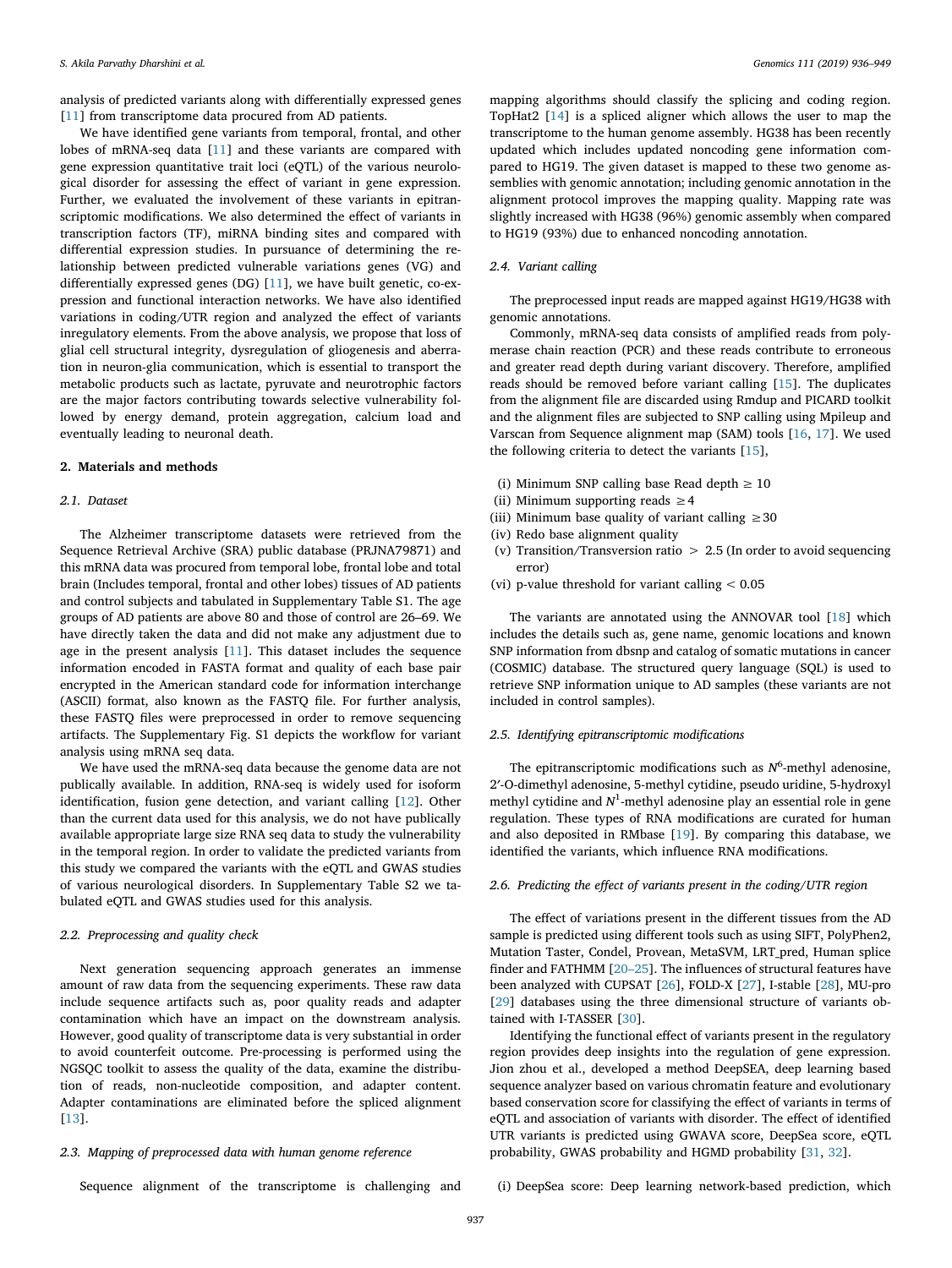analysis of predicted variants along with differentially expressed genes [11] from transcriptome data procured from AD patients.

We have identified gene variants from temporal, frontal, and other lobes of mRNA-seq data [11] and these variants are compared with gene expression quantitative trait loci (eQTL) of the various neurological disorder for assessing the effect of variant in gene expression. Further, we evaluated the involvement of these variants in epitranscriptomic modifications. We also determined the effect of variants in transcription factors (TF), miRNA binding sites and compared with differential expression studies. In pursuance of determining the relationship between predicted vulnerable variations genes (VG) and differentially expressed genes (DG) [11], we have built genetic, co-expression and functional interaction networks. We have also identified variations in coding/UTR region and analyzed the effect of variants inregulatory elements. From the above analysis, we propose that loss of glial cell structural integrity, dysregulation of gliogenesis and aberration in neuron-glia communication, which is essential to transport the metabolic products such as lactate, pyruvate and neurotrophic factors are the major factors contributing towards selective vulnerability followed by energy demand, protein aggregation, calcium load and eventually leading to neuronal death.

## 2. Materials and methods

## *2.1. Dataset*

The Alzheimer transcriptome datasets were retrieved from the Sequence Retrieval Archive (SRA) public database (PRJNA79871) and this mRNA data was procured from temporal lobe, frontal lobe and total brain (Includes temporal, frontal and other lobes) tissues of AD patients and control subjects and tabulated in Supplementary Table S1. The age groups of AD patients are above 80 and those of control are 26–69. We have directly taken the data and did not make any adjustment due to age in the present analysis [11]. This dataset includes the sequence information encoded in FASTA format and quality of each base pair encrypted in the American standard code for information interchange (ASCII) format, also known as the FASTQ file. For further analysis, these FASTQ files were preprocessed in order to remove sequencing artifacts. The Supplementary Fig. S1 depicts the workflow for variant analysis using mRNA seq data.

We have used the mRNA-seq data because the genome data are not publically available. In addition, RNA-seq is widely used for isoform identification, fusion gene detection, and variant calling [12]. Other than the current data used for this analysis, we do not have publically available appropriate large size RNA seq data to study the vulnerability in the temporal region. In order to validate the predicted variants from this study we compared the variants with the eQTL and GWAS studies of various neurological disorders. In Supplementary Table S2 we tabulated eQTL and GWAS studies used for this analysis.

## *2.2. Preprocessing and quality check*

Next generation sequencing approach generates an immense amount of raw data from the sequencing experiments. These raw data include sequence artifacts such as, poor quality reads and adapter contamination which have an impact on the downstream analysis. However, good quality of transcriptome data is very substantial in order to avoid counterfeit outcome. Pre-processing is performed using the NGSQC toolkit to assess the quality of the data, examine the distribution of reads, non-nucleotide composition, and adapter content. Adapter contaminations are eliminated before the spliced alignment [13].

#### *2.3. Mapping of preprocessed data with human genome reference*

mapping algorithms should classify the splicing and coding region. TopHat2 [14] is a spliced aligner which allows the user to map the transcriptome to the human genome assembly. HG38 has been recently updated which includes updated noncoding gene information compared to HG19. The given dataset is mapped to these two genome assemblies with genomic annotation; including genomic annotation in the alignment protocol improves the mapping quality. Mapping rate was slightly increased with HG38 (96%) genomic assembly when compared to HG19 (93%) due to enhanced noncoding annotation.

## *2.4. Variant calling*

The preprocessed input reads are mapped against HG19/HG38 with genomic annotations.

Commonly, mRNA-seq data consists of amplified reads from polymerase chain reaction (PCR) and these reads contribute to erroneous and greater read depth during variant discovery. Therefore, amplified reads should be removed before variant calling [15]. The duplicates from the alignment file are discarded using Rmdup and PICARD toolkit and the alignment files are subjected to SNP calling using Mpileup and Varscan from Sequence alignment map (SAM) tools [16, 17]. We used the following criteria to detect the variants [15],

- (i) Minimum SNP calling base Read depth  $\geq 10$
- (ii) Minimum supporting reads  $\geq 4$
- (iii) Minimum base quality of variant calling  $\geq 30$
- (iv) Redo base alignment quality
- (v) Transition/Transversion ratio > 2.5 (In order to avoid sequencing error)
- (vi) p-value threshold for variant calling < 0.05

The variants are annotated using the ANNOVAR tool [18] which includes the details such as, gene name, genomic locations and known SNP information from dbsnp and catalog of somatic mutations in cancer (COSMIC) database. The structured query language (SQL) is used to retrieve SNP information unique to AD samples (these variants are not included in control samples).

## *2.5. Identifying epitranscriptomic modi*fi*cations*

The epitranscriptomic modifications such as N<sup>6</sup>-methyl adenosine, 2′-O-dimethyl adenosine, 5-methyl cytidine, pseudo uridine, 5-hydroxyl methyl cytidine and  $N^1$ -methyl adenosine play an essential role in gene regulation. These types of RNA modifications are curated for human and also deposited in RMbase [19]. By comparing this database, we identified the variants, which influence RNA modifications.

#### *2.6. Predicting the e*ff*ect of variants present in the coding/UTR region*

The effect of variations present in the different tissues from the AD sample is predicted using different tools such as using SIFT, PolyPhen2, Mutation Taster, Condel, Provean, MetaSVM, LRT\_pred, Human splice finder and FATHMM [20–25]. The influences of structural features have been analyzed with CUPSAT [26], FOLD-X [27], I-stable [28], MU-pro [29] databases using the three dimensional structure of variants obtained with I-TASSER [30].

Identifying the functional effect of variants present in the regulatory region provides deep insights into the regulation of gene expression. Jion zhou et al., developed a method DeepSEA, deep learning based sequence analyzer based on various chromatin feature and evolutionary based conservation score for classifying the effect of variants in terms of eQTL and association of variants with disorder. The effect of identified UTR variants is predicted using GWAVA score, DeepSea score, eQTL probability, GWAS probability and HGMD probability [31, 32].

Sequence alignment of the transcriptome is challenging and

(i) DeepSea score: Deep learning network-based prediction, which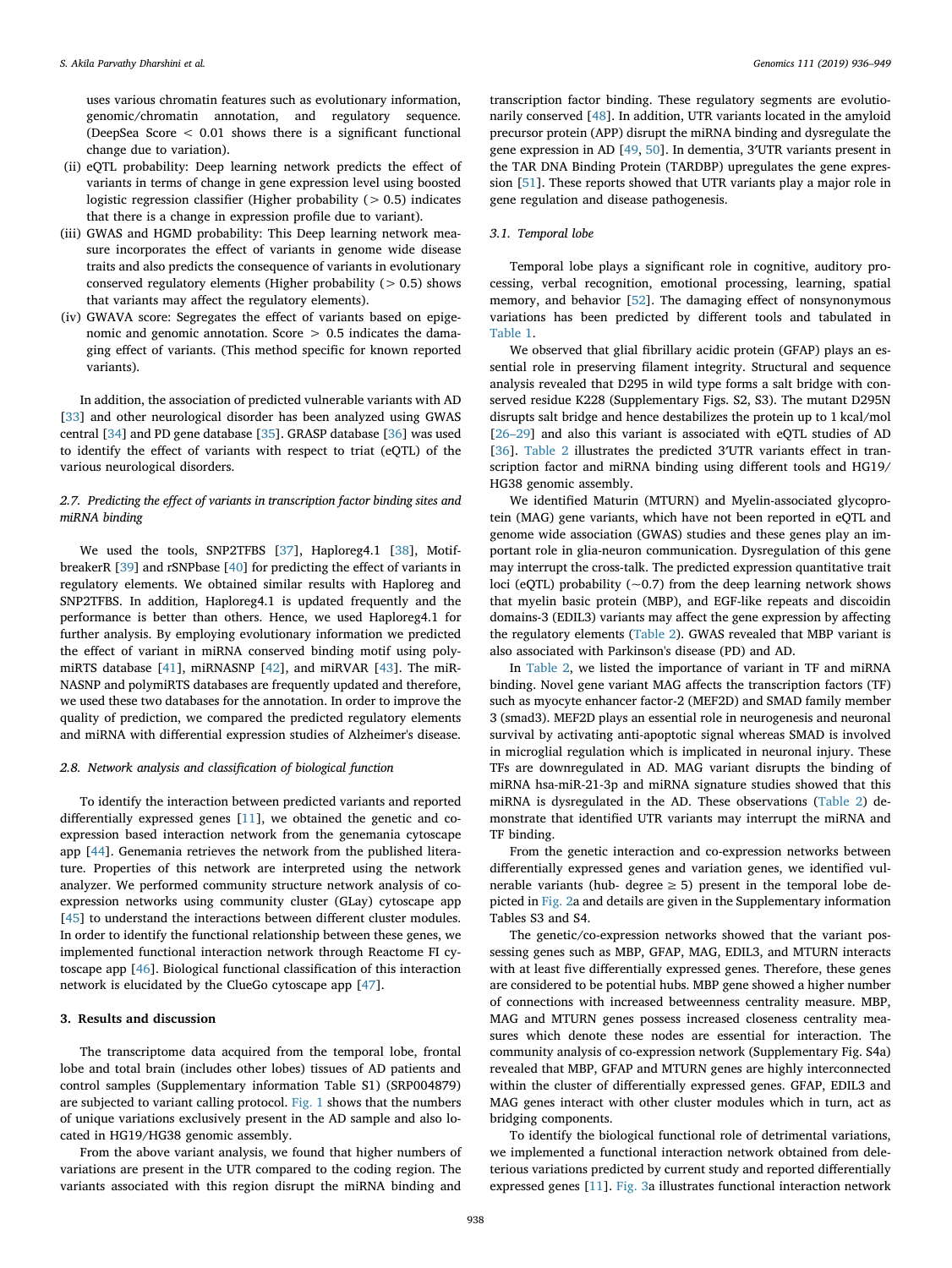uses various chromatin features such as evolutionary information, genomic/chromatin annotation, and regulatory sequence. (DeepSea Score < 0.01 shows there is a significant functional change due to variation).

- (ii) eQTL probability: Deep learning network predicts the effect of variants in terms of change in gene expression level using boosted logistic regression classifier (Higher probability  $(> 0.5)$  indicates that there is a change in expression profile due to variant).
- (iii) GWAS and HGMD probability: This Deep learning network measure incorporates the effect of variants in genome wide disease traits and also predicts the consequence of variants in evolutionary conserved regulatory elements (Higher probability  $( > 0.5)$  shows that variants may affect the regulatory elements).
- (iv) GWAVA score: Segregates the effect of variants based on epigenomic and genomic annotation. Score > 0.5 indicates the damaging effect of variants. (This method specific for known reported variants).

In addition, the association of predicted vulnerable variants with AD [33] and other neurological disorder has been analyzed using GWAS central [34] and PD gene database [35]. GRASP database [36] was used to identify the effect of variants with respect to triat (eQTL) of the various neurological disorders.

## *2.7. Predicting the e*ff*ect of variants in transcription factor binding sites and miRNA binding*

We used the tools, SNP2TFBS [37], Haploreg4.1 [38], MotifbreakerR [39] and rSNPbase [40] for predicting the effect of variants in regulatory elements. We obtained similar results with Haploreg and SNP2TFBS. In addition, Haploreg4.1 is updated frequently and the performance is better than others. Hence, we used Haploreg4.1 for further analysis. By employing evolutionary information we predicted the effect of variant in miRNA conserved binding motif using polymiRTS database [41], miRNASNP [42], and miRVAR [43]. The miR-NASNP and polymiRTS databases are frequently updated and therefore, we used these two databases for the annotation. In order to improve the quality of prediction, we compared the predicted regulatory elements and miRNA with differential expression studies of Alzheimer's disease.

#### *2.8. Network analysis and classi*fi*cation of biological function*

To identify the interaction between predicted variants and reported differentially expressed genes [11], we obtained the genetic and coexpression based interaction network from the genemania cytoscape app [44]. Genemania retrieves the network from the published literature. Properties of this network are interpreted using the network analyzer. We performed community structure network analysis of coexpression networks using community cluster (GLay) cytoscape app [45] to understand the interactions between different cluster modules. In order to identify the functional relationship between these genes, we implemented functional interaction network through Reactome FI cytoscape app [46]. Biological functional classification of this interaction network is elucidated by the ClueGo cytoscape app [47].

## 3. Results and discussion

The transcriptome data acquired from the temporal lobe, frontal lobe and total brain (includes other lobes) tissues of AD patients and control samples (Supplementary information Table S1) (SRP004879) are subjected to variant calling protocol. Fig. 1 shows that the numbers of unique variations exclusively present in the AD sample and also located in HG19/HG38 genomic assembly.

From the above variant analysis, we found that higher numbers of variations are present in the UTR compared to the coding region. The variants associated with this region disrupt the miRNA binding and

transcription factor binding. These regulatory segments are evolutionarily conserved [48]. In addition, UTR variants located in the amyloid precursor protein (APP) disrupt the miRNA binding and dysregulate the gene expression in AD [49, 50]. In dementia, 3′UTR variants present in the TAR DNA Binding Protein (TARDBP) upregulates the gene expression [51]. These reports showed that UTR variants play a major role in gene regulation and disease pathogenesis.

## *3.1. Temporal lobe*

Temporal lobe plays a significant role in cognitive, auditory processing, verbal recognition, emotional processing, learning, spatial memory, and behavior [52]. The damaging effect of nonsynonymous variations has been predicted by different tools and tabulated in Table 1.

We observed that glial fibrillary acidic protein (GFAP) plays an essential role in preserving filament integrity. Structural and sequence analysis revealed that D295 in wild type forms a salt bridge with conserved residue K228 (Supplementary Figs. S2, S3). The mutant D295N disrupts salt bridge and hence destabilizes the protein up to 1 kcal/mol [26–29] and also this variant is associated with eQTL studies of AD [36]. Table 2 illustrates the predicted 3′UTR variants effect in transcription factor and miRNA binding using different tools and HG19/ HG38 genomic assembly.

We identified Maturin (MTURN) and Myelin-associated glycoprotein (MAG) gene variants, which have not been reported in eQTL and genome wide association (GWAS) studies and these genes play an important role in glia-neuron communication. Dysregulation of this gene may interrupt the cross-talk. The predicted expression quantitative trait loci (eQTL) probability  $(-0.7)$  from the deep learning network shows that myelin basic protein (MBP), and EGF-like repeats and discoidin domains-3 (EDIL3) variants may affect the gene expression by affecting the regulatory elements (Table 2). GWAS revealed that MBP variant is also associated with Parkinson's disease (PD) and AD.

In Table 2, we listed the importance of variant in TF and miRNA binding. Novel gene variant MAG affects the transcription factors (TF) such as myocyte enhancer factor-2 (MEF2D) and SMAD family member 3 (smad3). MEF2D plays an essential role in neurogenesis and neuronal survival by activating anti-apoptotic signal whereas SMAD is involved in microglial regulation which is implicated in neuronal injury. These TFs are downregulated in AD. MAG variant disrupts the binding of miRNA hsa-miR-21-3p and miRNA signature studies showed that this miRNA is dysregulated in the AD. These observations (Table 2) demonstrate that identified UTR variants may interrupt the miRNA and TF binding.

From the genetic interaction and co-expression networks between differentially expressed genes and variation genes, we identified vulnerable variants (hub- degree  $\geq$  5) present in the temporal lobe depicted in Fig. 2a and details are given in the Supplementary information Tables S3 and S4.

The genetic/co-expression networks showed that the variant possessing genes such as MBP, GFAP, MAG, EDIL3, and MTURN interacts with at least five differentially expressed genes. Therefore, these genes are considered to be potential hubs. MBP gene showed a higher number of connections with increased betweenness centrality measure. MBP, MAG and MTURN genes possess increased closeness centrality measures which denote these nodes are essential for interaction. The community analysis of co-expression network (Supplementary Fig. S4a) revealed that MBP, GFAP and MTURN genes are highly interconnected within the cluster of differentially expressed genes. GFAP, EDIL3 and MAG genes interact with other cluster modules which in turn, act as bridging components.

To identify the biological functional role of detrimental variations, we implemented a functional interaction network obtained from deleterious variations predicted by current study and reported differentially expressed genes [11]. Fig. 3a illustrates functional interaction network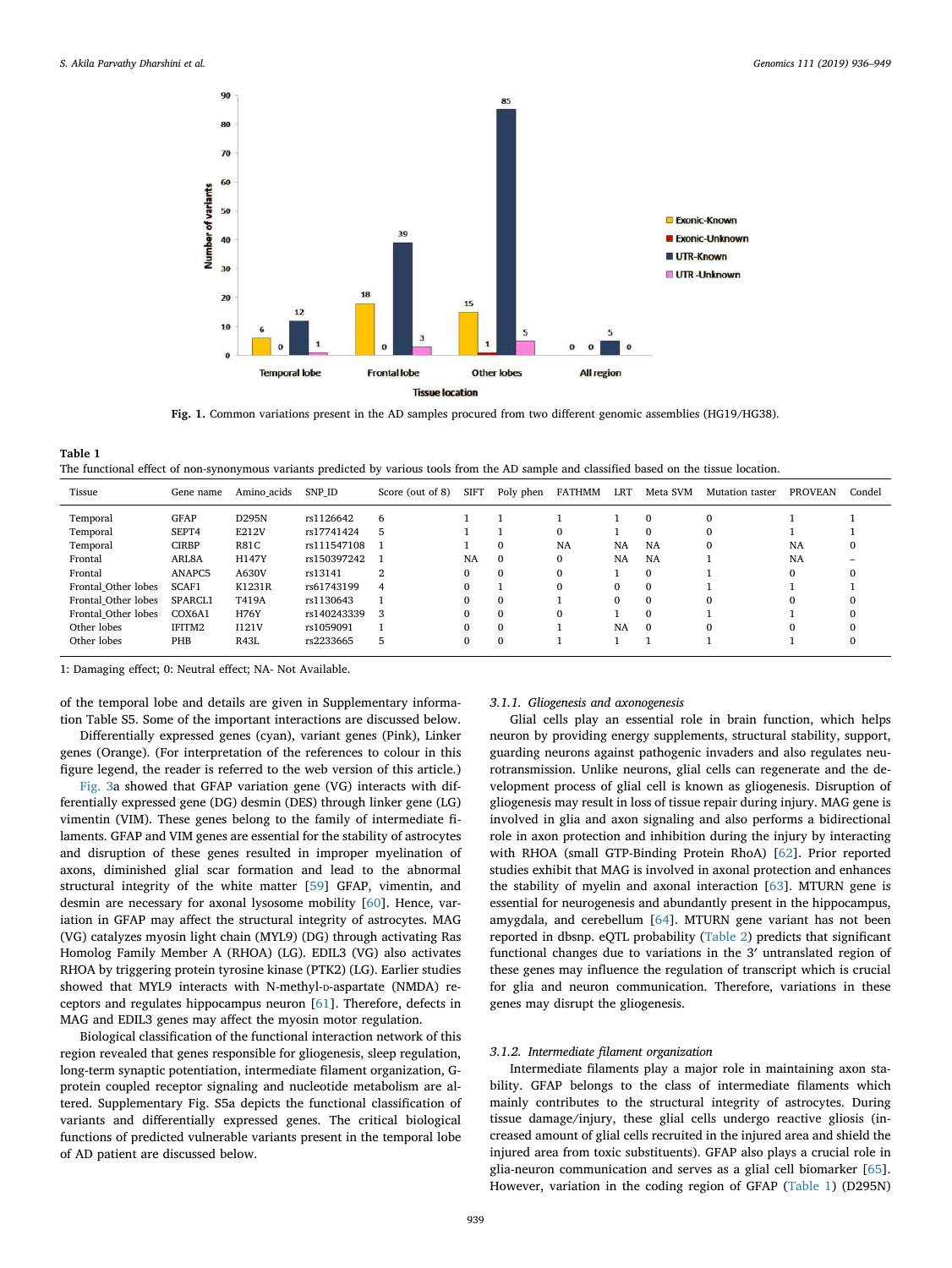

Fig. 1. Common variations present in the AD samples procured from two different genomic assemblies (HG19/HG38).

| Table 1                                                                                                                                     |  |  |
|---------------------------------------------------------------------------------------------------------------------------------------------|--|--|
| The functional effect of non-synonymous variants predicted by various tools from the AD sample and classified based on the tissue location. |  |  |

| Tissue              | Gene name          | Amino acids       | <b>SNP ID</b> | Score (out of 8) | <b>SIFT</b> | Poly phen    | <b>FATHMM</b> | <b>LRT</b> | Meta SVM  | <b>Mutation</b> taster | <b>PROVEAN</b> | Condel   |
|---------------------|--------------------|-------------------|---------------|------------------|-------------|--------------|---------------|------------|-----------|------------------------|----------------|----------|
| Temporal            | GFAP               | D295N             | rs1126642     | 6                |             |              |               |            | $\Omega$  | $\Omega$               |                |          |
| Temporal            | SEPT4              | E212V             | rs17741424    | 5                |             |              | 0             |            |           | $\Omega$               |                |          |
| Temporal            | <b>CIRBP</b>       | <b>R81C</b>       | rs111547108   |                  |             | $\Omega$     | NA            | NA         | NA        | $\Omega$               | NA             | $\Omega$ |
| Frontal             | ARL8A              | <b>H147Y</b>      | rs150397242   |                  | NA          | $\Omega$     | $\Omega$      | NA         | <b>NA</b> |                        | <b>NA</b>      |          |
| Frontal             | ANAPC <sub>5</sub> | A630V             | rs13141       | 2                | $\Omega$    | $\Omega$     | $\Omega$      |            | $\Omega$  |                        |                | 0        |
| Frontal Other lobes | SCAF1              | K1231R            | rs61743199    | 4                | $\Omega$    |              | $\Omega$      | 0          | $\Omega$  |                        |                |          |
| Frontal Other lobes | SPARCL1            | T419A             | rs1130643     |                  | $\Omega$    | $\Omega$     |               | 0          | $\Omega$  | $\Omega$               |                | $\Omega$ |
| Frontal Other lobes | COX6A1             | <b>H76Y</b>       | rs140243339   | 3                | $\Omega$    | $\Omega$     | $\Omega$      |            | $\Omega$  |                        |                | 0        |
| Other lobes         | IFITM2             | I121V             | rs1059091     |                  | $\Omega$    | $\Omega$     |               | <b>NA</b>  | $\Omega$  | $\Omega$               |                | 0        |
| Other lobes         | PHB                | R <sub>43</sub> L | rs2233665     | 5                | 0           | $\mathbf{0}$ |               |            |           |                        |                | 0        |

1: Damaging effect; 0: Neutral effect; NA- Not Available.

of the temporal lobe and details are given in Supplementary information Table S5. Some of the important interactions are discussed below.

Differentially expressed genes (cyan), variant genes (Pink), Linker genes (Orange). (For interpretation of the references to colour in this figure legend, the reader is referred to the web version of this article.)

Fig. 3a showed that GFAP variation gene (VG) interacts with differentially expressed gene (DG) desmin (DES) through linker gene (LG) vimentin (VIM). These genes belong to the family of intermediate filaments. GFAP and VIM genes are essential for the stability of astrocytes and disruption of these genes resulted in improper myelination of axons, diminished glial scar formation and lead to the abnormal structural integrity of the white matter [59] GFAP, vimentin, and desmin are necessary for axonal lysosome mobility [60]. Hence, variation in GFAP may affect the structural integrity of astrocytes. MAG (VG) catalyzes myosin light chain (MYL9) (DG) through activating Ras Homolog Family Member A (RHOA) (LG). EDIL3 (VG) also activates RHOA by triggering protein tyrosine kinase (PTK2) (LG). Earlier studies showed that MYL9 interacts with N-methyl-D-aspartate (NMDA) receptors and regulates hippocampus neuron [61]. Therefore, defects in MAG and EDIL3 genes may affect the myosin motor regulation.

Biological classification of the functional interaction network of this region revealed that genes responsible for gliogenesis, sleep regulation, long-term synaptic potentiation, intermediate filament organization, Gprotein coupled receptor signaling and nucleotide metabolism are altered. Supplementary Fig. S5a depicts the functional classification of variants and differentially expressed genes. The critical biological functions of predicted vulnerable variants present in the temporal lobe of AD patient are discussed below.

## *3.1.1. Gliogenesis and axonogenesis*

Glial cells play an essential role in brain function, which helps neuron by providing energy supplements, structural stability, support, guarding neurons against pathogenic invaders and also regulates neurotransmission. Unlike neurons, glial cells can regenerate and the development process of glial cell is known as gliogenesis. Disruption of gliogenesis may result in loss of tissue repair during injury. MAG gene is involved in glia and axon signaling and also performs a bidirectional role in axon protection and inhibition during the injury by interacting with RHOA (small GTP-Binding Protein RhoA) [62]. Prior reported studies exhibit that MAG is involved in axonal protection and enhances the stability of myelin and axonal interaction [63]. MTURN gene is essential for neurogenesis and abundantly present in the hippocampus, amygdala, and cerebellum [64]. MTURN gene variant has not been reported in dbsnp. eQTL probability (Table 2) predicts that significant functional changes due to variations in the 3′ untranslated region of these genes may influence the regulation of transcript which is crucial for glia and neuron communication. Therefore, variations in these genes may disrupt the gliogenesis.

## *3.1.2. Intermediate* fi*lament organization*

Intermediate filaments play a major role in maintaining axon stability. GFAP belongs to the class of intermediate filaments which mainly contributes to the structural integrity of astrocytes. During tissue damage/injury, these glial cells undergo reactive gliosis (increased amount of glial cells recruited in the injured area and shield the injured area from toxic substituents). GFAP also plays a crucial role in glia-neuron communication and serves as a glial cell biomarker [65]. However, variation in the coding region of GFAP (Table 1) (D295N)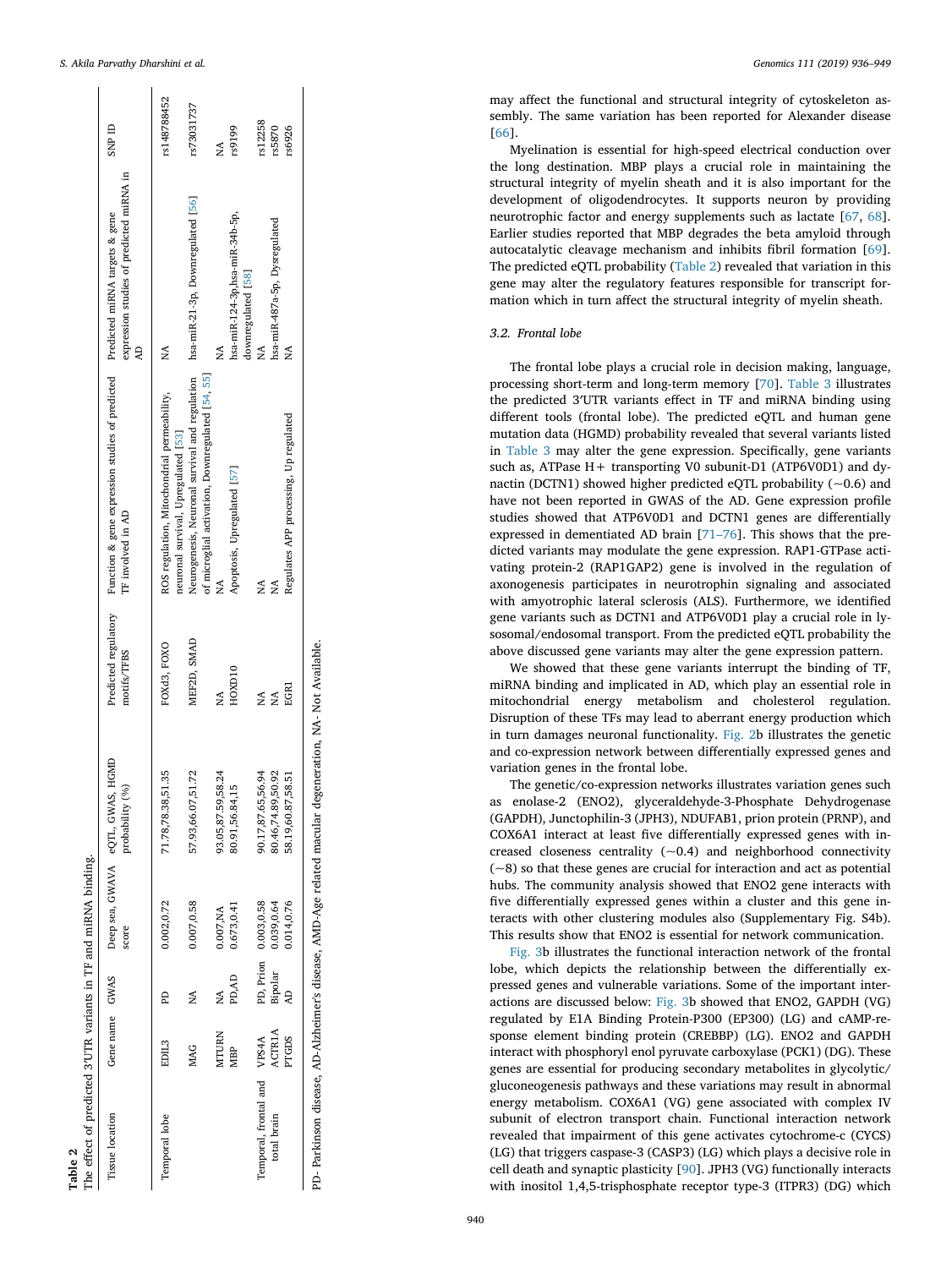| The effect of predicted 3'UTR variants in TF and miRNA binding. |                   |         |                      |                                                                                                         |             |                                                                                                                                      |                                                      |             |
|-----------------------------------------------------------------|-------------------|---------|----------------------|---------------------------------------------------------------------------------------------------------|-------------|--------------------------------------------------------------------------------------------------------------------------------------|------------------------------------------------------|-------------|
| <b>Tissue</b> location                                          | Gene name GWAS    |         | score                | Deep sea, GWAVA eQTL, GWAS, HGMD<br>(%)<br>probability                                                  | motifs/TFBS | Predicted regulatory Function & gene expression studies of predicted Predicted miRNA targets & gene<br>TF involved in AD             | expression studies of predicted miRNA in<br>ЯD       | SNP ID      |
| Temporal lobe                                                   | EDIL <sub>3</sub> | 曰       | 0.002,0.72           | 51.35<br>71.78,78.38                                                                                    | FOXd3, FOXO | ROS regulation, Mitochondrial permeability,<br>neuronal survival, Upregulated [53]                                                   | ź                                                    | rs148788452 |
|                                                                 | MAG               | ΧA      | 0.007,0.58           | 51.72<br>57.93,66.07                                                                                    | MEF2D, SMAD | Neurogenesis, Neuronal survival and regulation hsa-miR-21-3p, Downregulated [56]<br>of microglial activation, Downregulated [54, 55] |                                                      | rs73031737  |
|                                                                 | MTURN             |         | 0.007, NA            | 58.24<br>93.05,87.59,                                                                                   | Ź           |                                                                                                                                      | ź                                                    | Ź           |
|                                                                 | <b>MBP</b>        | PD,AD   | 0.673, 0.41          | 80.91,56.84,15                                                                                          | HOXD10      | Apoptosis, Upregulated [57]                                                                                                          | hsa-miR-124-3p,hsa-miR-34b-5p,<br>downregulated [58] | rs9199      |
| Temporal, frontal and VPS4A                                     |                   |         | PD, Prion 0.003,0.58 | .56.94<br>90.17,87.65                                                                                   | ≸           | Ź                                                                                                                                    | $\mathbb{A}^{\mathsf{A}}$                            | rs12258     |
| total brain                                                     | <b>ACTR1A</b>     | Bipolar | 0.039, 0.64          | 50.92<br>80.46,74.89                                                                                    | ΣÁ          | NΑ                                                                                                                                   | hsa-miR-487a-5p, Dysregulated                        | rs5870      |
|                                                                 | SCDL              | Ð       | 0.014,0.76           | ,58.51<br>58.19,60.87                                                                                   | EGR1        | Regulates APP processing, Up regulated                                                                                               |                                                      | rs6926      |
|                                                                 |                   |         |                      | PD- Parkinson disease, AD-Alzheimer's disease, AMD-Age related macular degeneration, NA- Not Available. |             |                                                                                                                                      |                                                      |             |

may a ffect the functional and structural integrity of cytoskeleton assembly. The same variation has been reported for Alexander disease [66].

Myelination is essential for high-speed electrical conduction over the long destination. MBP plays a crucial role in maintaining the structural integrity of myelin sheath and it is also important for the development of oligodendrocytes. It supports neuron by providing neurotrophic factor and energy supplements such as lactate [67 , 68]. Earlier studies reported that MBP degrades the beta amyloid through autocatalytic cleavage mechanism and inhibits fibril formation [69]. The predicted eQTL probability (Table 2) revealed that variation in this gene may alter the regulatory features responsible for transcript formation which in turn affect the structural integrity of myelin sheath.

## *3.2. Frontal lobe*

The frontal lobe plays a crucial role in decision making, language, processing short-term and long-term memory [70]. Table 3 illustrates the predicted 3 ′UTR variants e ffect in TF and miRNA binding using di fferent tools (frontal lobe). The predicted eQTL and human gene mutation data (HGMD) probability revealed that several variants listed in Table 3 may alter the gene expression. Speci fically, gene variants such as, ATPase H+ transporting V0 subunit-D1 (ATP6V0D1) and dynactin (DCTN1) showed higher predicted eQTL probability  $(-0.6)$  and have not been reported in GWAS of the AD. Gene expression pro file studies showed that ATP6V0D1 and DCTN1 genes are di fferentially expressed in dementiated AD brain [71-76]. This shows that the predicted variants may modulate the gene expression. RAP1-GTPase activating protein-2 (RAP1GAP2) gene is involved in the regulation of axonogenesis participates in neurotrophin signaling and associated with amyotrophic lateral sclerosis (ALS). Furthermore, we identi fied gene variants such as DCTN1 and ATP6V0D1 play a crucial role in lysosomal/endosomal transport. From the predicted eQTL probability the above discussed gene variants may alter the gene expression pattern.

We showed that these gene variants interrupt the binding of TF, miRNA binding and implicated in AD, which play an essential role in mitochondrial energy metabolism and cholesterol regulation. Disruption of these TFs may lead to aberrant energy production which in turn damages neuronal functionality. Fig. 2b illustrates the genetic and co-expression network between di fferentially expressed genes and variation genes in the frontal lobe.

The genetic/co-expression networks illustrates variation genes such as enolase-2 (ENO2), glyceraldehyde-3-Phosphate Dehydrogenase (GAPDH), Junctophilin-3 (JPH3), NDUFAB1, prion protein (PRNP), and COX6A1 interact at least five di fferentially expressed genes with increased closeness centrality  $(-0.4)$  and neighborhood connectivity (~8) so that these genes are crucial for interaction and act as potential hubs. The community analysis showed that ENO2 gene interacts with five differentially expressed genes within a cluster and this gene interacts with other clustering modules also (Supplementary Fig. S4b). This results show that ENO2 is essential for network communication.

Fig. 3b illustrates the functional interaction network of the frontal lobe, which depicts the relationship between the di fferentially expressed genes and vulnerable variations. Some of the important interactions are discussed below: Fig. 3b showed that ENO2, GAPDH (VG) regulated by E1A Binding Protein-P300 (EP300) (LG) and cAMP-response element binding protein (CREBBP) (LG). ENO2 and GAPDH interact with phosphoryl enol pyruvate carboxylase (PCK1) (DG). These genes are essential for producing secondary metabolites in glycolytic/ gluconeogenesis pathways and these variations may result in abnormal energy metabolism. COX6A1 (VG) gene associated with complex IV subunit of electron transport chain. Functional interaction network revealed that impairment of this gene activates cytochrome-c (CYCS) (LG) that triggers caspase-3 (CASP3) (LG) which plays a decisive role in cell death and synaptic plasticity [90]. JPH3 (VG) functionally interacts with inositol 1,4,5-trisphosphate receptor type-3 (ITPR3) (DG) which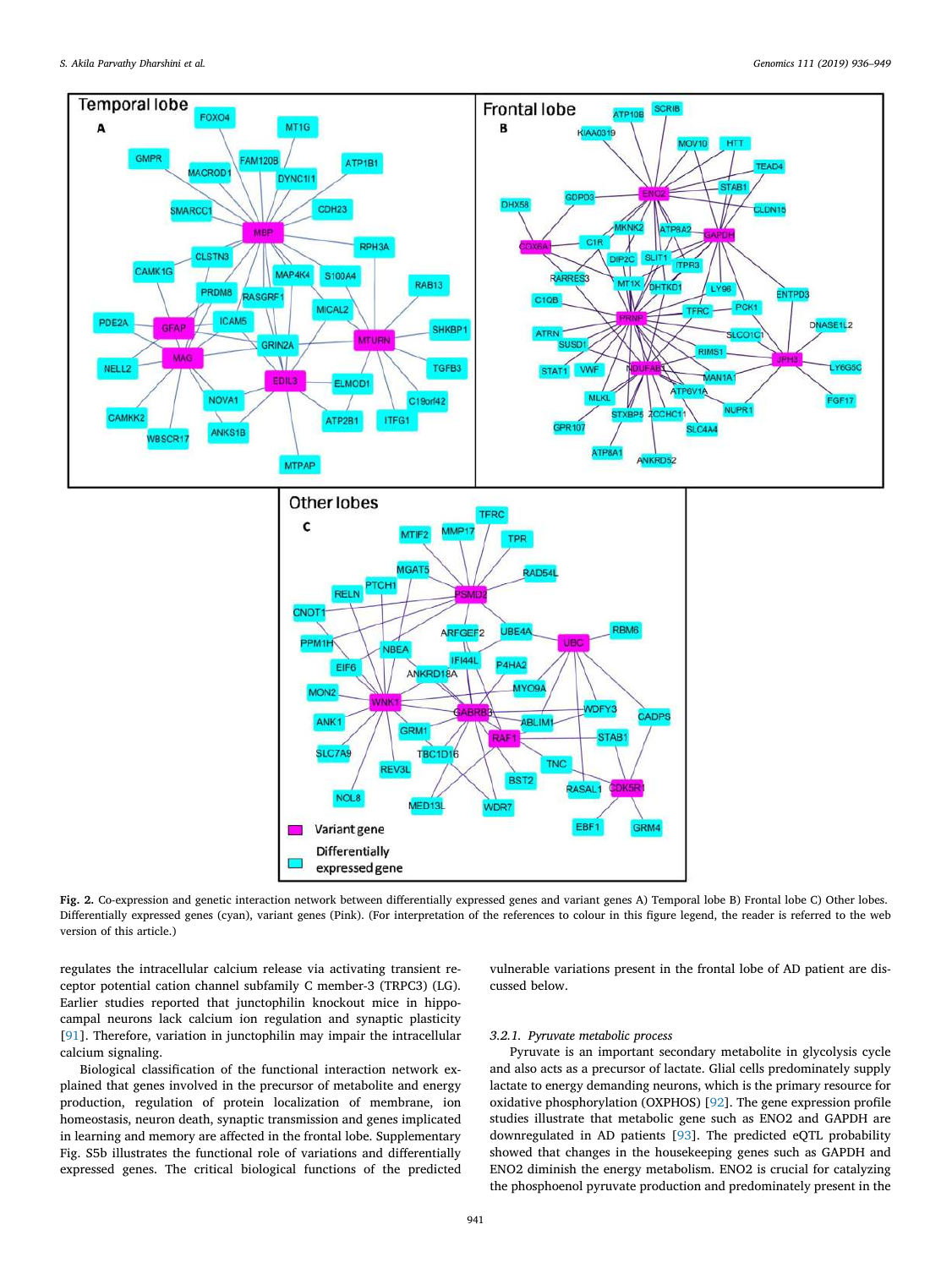

Fig. 2. Co-expression and genetic interaction network between differentially expressed genes and variant genes A) Temporal lobe B) Frontal lobe C) Other lobes. Differentially expressed genes (cyan), variant genes (Pink). (For interpretation of the references to colour in this figure legend, the reader is referred to the web version of this article.)

regulates the intracellular calcium release via activating transient receptor potential cation channel subfamily C member-3 (TRPC3) (LG). Earlier studies reported that junctophilin knockout mice in hippocampal neurons lack calcium ion regulation and synaptic plasticity [91]. Therefore, variation in junctophilin may impair the intracellular calcium signaling.

Biological classification of the functional interaction network explained that genes involved in the precursor of metabolite and energy production, regulation of protein localization of membrane, ion homeostasis, neuron death, synaptic transmission and genes implicated in learning and memory are affected in the frontal lobe. Supplementary Fig. S5b illustrates the functional role of variations and differentially expressed genes. The critical biological functions of the predicted

vulnerable variations present in the frontal lobe of AD patient are discussed below.

## *3.2.1. Pyruvate metabolic process*

Pyruvate is an important secondary metabolite in glycolysis cycle and also acts as a precursor of lactate. Glial cells predominately supply lactate to energy demanding neurons, which is the primary resource for oxidative phosphorylation (OXPHOS) [92]. The gene expression profile studies illustrate that metabolic gene such as ENO2 and GAPDH are downregulated in AD patients [93]. The predicted eQTL probability showed that changes in the housekeeping genes such as GAPDH and ENO2 diminish the energy metabolism. ENO2 is crucial for catalyzing the phosphoenol pyruvate production and predominately present in the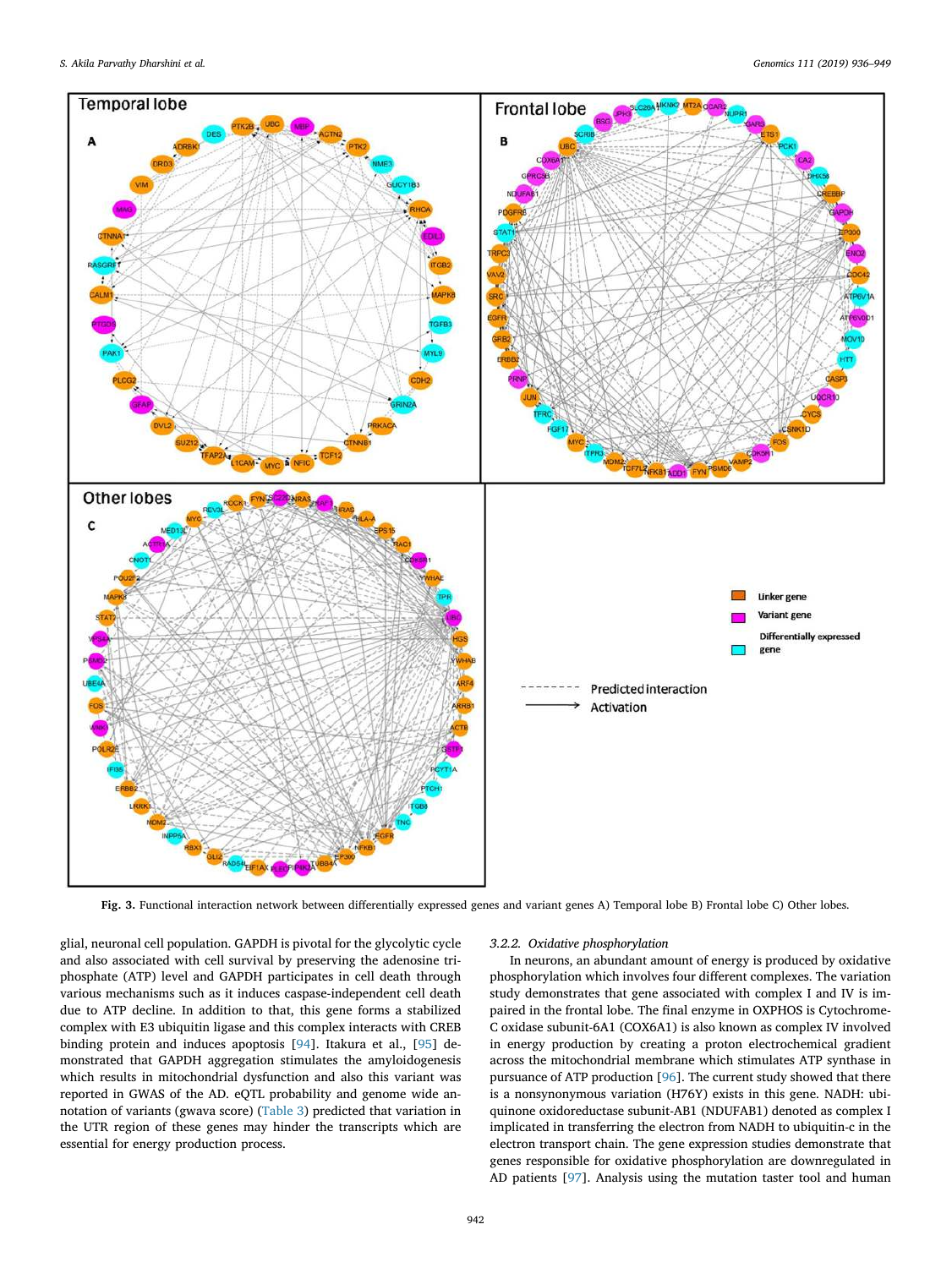

Fig. 3. Functional interaction network between differentially expressed genes and variant genes A) Temporal lobe B) Frontal lobe C) Other lobes.

glial, neuronal cell population. GAPDH is pivotal for the glycolytic cycle and also associated with cell survival by preserving the adenosine triphosphate (ATP) level and GAPDH participates in cell death through various mechanisms such as it induces caspase-independent cell death due to ATP decline. In addition to that, this gene forms a stabilized complex with E3 ubiquitin ligase and this complex interacts with CREB binding protein and induces apoptosis [94]. Itakura et al., [95] demonstrated that GAPDH aggregation stimulates the amyloidogenesis which results in mitochondrial dysfunction and also this variant was reported in GWAS of the AD. eQTL probability and genome wide annotation of variants (gwava score) (Table 3) predicted that variation in the UTR region of these genes may hinder the transcripts which are essential for energy production process.

## *3.2.2. Oxidative phosphorylation*

In neurons, an abundant amount of energy is produced by oxidative phosphorylation which involves four different complexes. The variation study demonstrates that gene associated with complex I and IV is impaired in the frontal lobe. The final enzyme in OXPHOS is Cytochrome-C oxidase subunit-6A1 (COX6A1) is also known as complex IV involved in energy production by creating a proton electrochemical gradient across the mitochondrial membrane which stimulates ATP synthase in pursuance of ATP production [96]. The current study showed that there is a nonsynonymous variation (H76Y) exists in this gene. NADH: ubiquinone oxidoreductase subunit-AB1 (NDUFAB1) denoted as complex I implicated in transferring the electron from NADH to ubiquitin-c in the electron transport chain. The gene expression studies demonstrate that genes responsible for oxidative phosphorylation are downregulated in AD patients [97]. Analysis using the mutation taster tool and human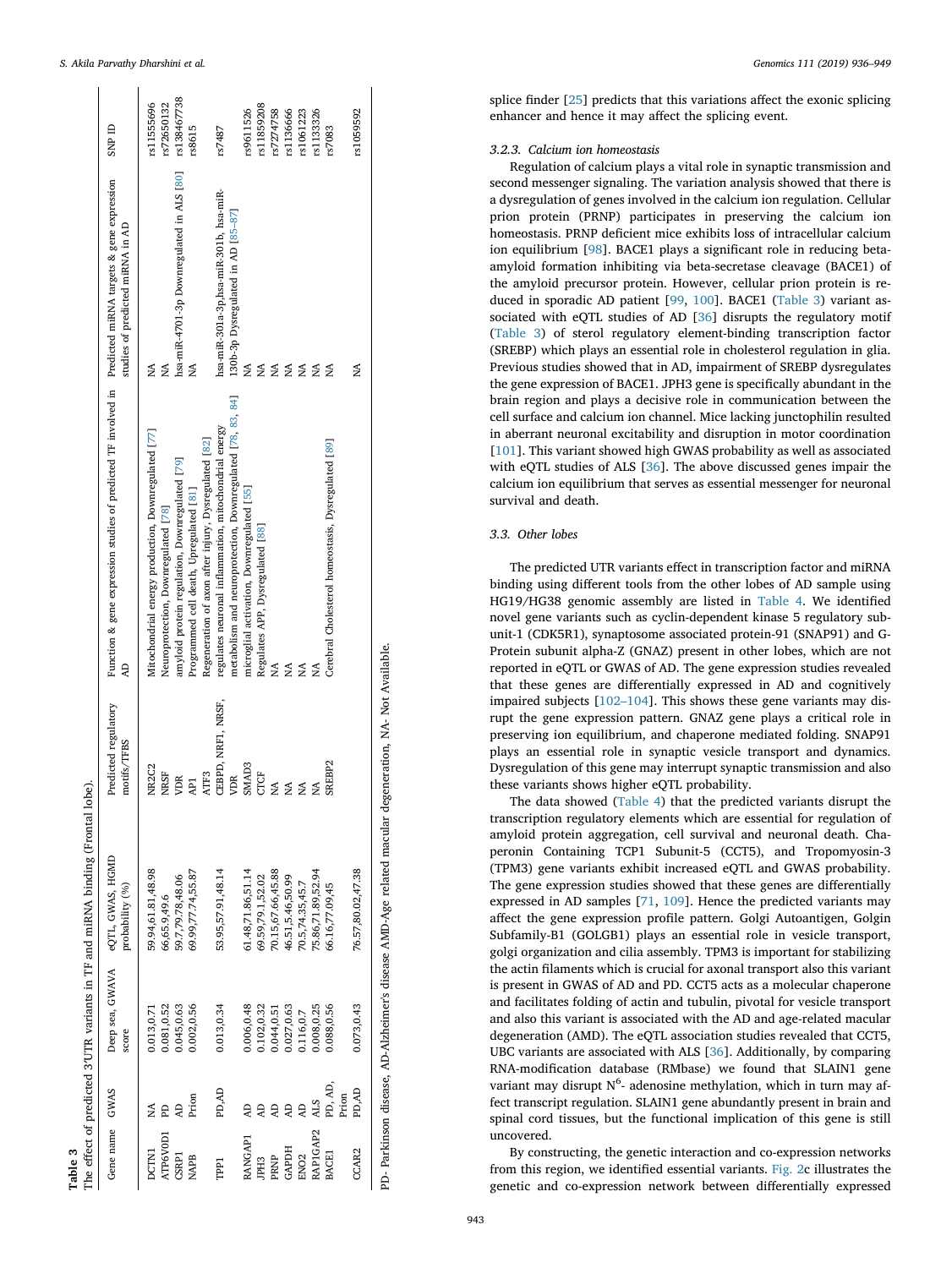|                  |                  |                          | The effect of predicted 3 UTR variants in TF and miRNA binding (Frontal lobe)                          |                                     |                                                                                                                      |                                           |             |
|------------------|------------------|--------------------------|--------------------------------------------------------------------------------------------------------|-------------------------------------|----------------------------------------------------------------------------------------------------------------------|-------------------------------------------|-------------|
| Gene name GWAS   |                  | Deep sea, GWAVA<br>score | eQTL, GWAS, HGMD<br>probability (%)                                                                    | Predicted regulatory<br>motifs/TFBS | Function & gene expression studies of predicted TF involved in Predicted miRNA targets & gene expression<br><b>Q</b> | studies of predicted miRNA in AD          | SNP ID      |
| DCTNT            |                  | 0.013, 0.71              | 59.94,61.81,48.98                                                                                      | <b>NR2C2</b>                        | Mitochondrial energy production, Downregulated [77]                                                                  | Ź                                         | rs11555696  |
| ATP6V0D1         |                  | 0.081,0.52               | 66,65.9,49.6                                                                                           | <b>NRSF</b>                         | Neuroprotection, Downregulated [78]                                                                                  | ź                                         | rs72650132  |
| CSRP1            |                  | 0.045,0.63               | 59.7,79.78,48.06                                                                                       | <b>ACM</b>                          | amyloid protein regulation, Downregulated [79]                                                                       | hsa-miR-4701-3p Downregulated in ALS [80] | rs138467738 |
| <b>NAPB</b>      | Prion            | 0.002,0.56               | 69.99,77.74,55.87                                                                                      | AP <sub>1</sub>                     | Programmed cell death, Upregulated [81]                                                                              | $\tilde{\mathbf{z}}$                      | rs8615      |
|                  |                  |                          |                                                                                                        | ATF3                                | Regeneration of axon after injury, Dysregulated [82]                                                                 |                                           |             |
| TPPI             | A, qq            | 0.013,0.34               | 53.95,57.91,48.14                                                                                      | CEBPD, NRF1, NRSF,                  | regulates neuronal inflammation, mitochondrial energy                                                                | hsa-miR-301a-3p,hsa-miR-301b, hsa-miR-    | rs7487      |
|                  |                  |                          |                                                                                                        | <b>VDR</b>                          | metabolism and neuroprotection, Downregulated [78, 83, 84]                                                           | 130b-3p Dysregulated in AD [85-87]        |             |
| RANGAP1          |                  | 0.006,0.48               | 61.48,71.86,51.14                                                                                      | SMAD3                               | microglial activation, Downregulated [55]                                                                            | ≸                                         | rs9611526   |
| JPH <sub>3</sub> |                  | 0.102,0.32               | 69.59,79.1,52.02                                                                                       | <b>CTCF</b>                         | Regulates APP, Dysregulated [88]                                                                                     | $\tilde{P}$                               | rs11859208  |
| PRNP             |                  | 0.044,0.51               | 70.15,67.66,45.88                                                                                      | Ź                                   | Ş                                                                                                                    | Á                                         | rs7274758   |
| <b>GAPDH</b>     |                  | 0.027,0.63               | 46.51, 5.46, 50.99                                                                                     | Ź                                   | Ź                                                                                                                    | ŃΝ                                        | rs1136666   |
| ENO <sub>2</sub> | Ð                | 0.116,0.7                | 70.5,74.35,45.7                                                                                        | NA.                                 | ΧÁ                                                                                                                   | ΧÁ                                        | rs1061223   |
| RAP1GAP2         | ALS              | 0.008,0.25               | 75.86,71.89,52.94                                                                                      | ź                                   |                                                                                                                      | ΧÁ                                        | rs1133326   |
| <b>BACE1</b>     | PD, AD,<br>Prion | 0.088,0.56               | 66.16,77.09,45                                                                                         | SREBP <sub>2</sub>                  | Cerebral Cholesterol homeostasis, Dysregulated [89]                                                                  | ΧÁ                                        | rs7083      |
| CCAR2            | PD,AD            | 0.073, 0.43              | 76.57,80.02,47.38                                                                                      |                                     |                                                                                                                      | Ź                                         | rs1059592   |
|                  |                  |                          | PD- Parkinson disease, AD-Alzheimer's disease AMD-Age related macular degeneration, NA- Not Available. |                                     |                                                                                                                      |                                           |             |

Table 3

splice finder [25] predicts that this variations affect the exonic splicing enhancer and hence it may affect the splicing event.

## *3.2.3. Calcium ion homeostasis*

Regulation of calcium plays a vital role in synaptic transmission and second messenger signaling. The variation analysis showed that there is a dysregulation of genes involved in the calcium ion regulation. Cellular prion protein (PRNP) participates in preserving the calcium ion homeostasis. PRNP deficient mice exhibits loss of intracellular calcium ion equilibrium [98]. BACE1 plays a significant role in reducing betaamyloid formation inhibiting via beta-secretase cleavage (BACE1) of the amyloid precursor protein. However, cellular prion protein is reduced in sporadic AD patient [99, 100]. BACE1 (Table 3) variant associated with eQTL studies of AD [36] disrupts the regulatory motif (Table 3) of sterol regulatory element-binding transcription factor (SREBP) which plays an essential role in cholesterol regulation in glia. Previous studies showed that in AD, impairment of SREBP dysregulates the gene expression of BACE1. JPH3 gene is specifically abundant in the brain region and plays a decisive role in communication between the cell surface and calcium ion channel. Mice lacking junctophilin resulted in aberrant neuronal excitability and disruption in motor coordination [101]. This variant showed high GWAS probability as well as associated with eQTL studies of ALS [36]. The above discussed genes impair the calcium ion equilibrium that serves as essential messenger for neuronal survival and death.

## *3.3. Other lobes*

The predicted UTR variants effect in transcription factor and miRNA binding using different tools from the other lobes of AD sample using HG19/HG38 genomic assembly are listed in Table 4. We identified novel gene variants such as cyclin-dependent kinase 5 regulatory subunit-1 (CDK5R1), synaptosome associated protein-91 (SNAP91) and G-Protein subunit alpha-Z (GNAZ) present in other lobes, which are not reported in eQTL or GWAS of AD. The gene expression studies revealed that these genes are differentially expressed in AD and cognitively impaired subjects [102–104]. This shows these gene variants may disrupt the gene expression pattern. GNAZ gene plays a critical role in preserving ion equilibrium, and chaperone mediated folding. SNAP91 plays an essential role in synaptic vesicle transport and dynamics. Dysregulation of this gene may interrupt synaptic transmission and also these variants shows higher eQTL probability.

The data showed (Table 4) that the predicted variants disrupt the transcription regulatory elements which are essential for regulation of amyloid protein aggregation, cell survival and neuronal death. Chaperonin Containing TCP1 Subunit-5 (CCT5), and Tropomyosin-3 (TPM3) gene variants exhibit increased eQTL and GWAS probability. The gene expression studies showed that these genes are differentially expressed in AD samples [71, 109]. Hence the predicted variants may affect the gene expression profile pattern. Golgi Autoantigen, Golgin Subfamily-B1 (GOLGB1) plays an essential role in vesicle transport, golgi organization and cilia assembly. TPM3 is important for stabilizing the actin filaments which is crucial for axonal transport also this variant is present in GWAS of AD and PD. CCT5 acts as a molecular chaperone and facilitates folding of actin and tubulin, pivotal for vesicle transport and also this variant is associated with the AD and age-related macular degeneration (AMD). The eQTL association studies revealed that CCT5, UBC variants are associated with ALS [36]. Additionally, by comparing RNA-modification database (RMbase) we found that SLAIN1 gene variant may disrupt  $N^6$ - adenosine methylation, which in turn may affect transcript regulation. SLAIN1 gene abundantly present in brain and spinal cord tissues, but the functional implication of this gene is still uncovered.

By constructing, the genetic interaction and co-expression networks from this region, we identified essential variants. Fig. 2c illustrates the genetic and co-expression network between differentially expressed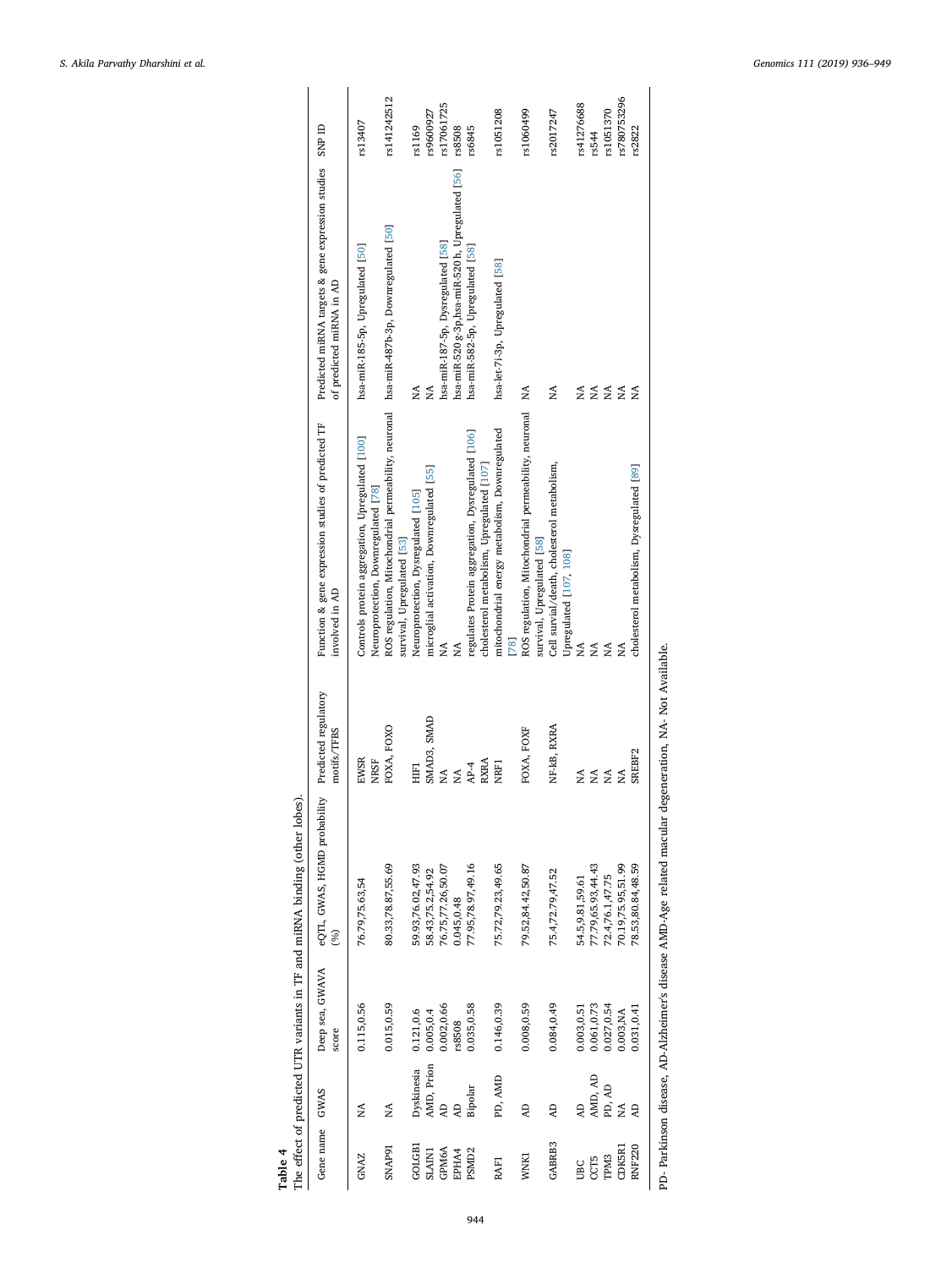Table  ${\mathsf 4}$  or predicted UTR variants in TF and miRNA binding (other lobes). The effect of predicted UTR variants in TF and miRNA binding (other lobes). The effect of predicted UTR variants in TF and miRNA binding (other lobes).

| Gene name GWAS     |            | Deep sea, GWAVA<br>score | eQTL, GWAS, HGMD probability<br>$(\%)$                                                                 | Predicted regulatory<br>motifs/TFBS | Function & gene expression studies of predicted TF<br>involved in AD                                                   | Predicted miRNA targets & gene expression studies SNP ID<br>of predicted miRNA in AD |             |
|--------------------|------------|--------------------------|--------------------------------------------------------------------------------------------------------|-------------------------------------|------------------------------------------------------------------------------------------------------------------------|--------------------------------------------------------------------------------------|-------------|
| <b>GNAZ</b>        | Ź          | 0.115,0.56               | 76.79,75.63,54                                                                                         | <b>EWSR</b><br><b>NRSF</b>          | Controls protein aggregation, Upregulated [100]<br>Neuroprotection, Downregulated [78]                                 | hsa-miR-185-5p, Upregulated [50]                                                     | rs13407     |
| <b>LGdVNS</b>      | Ź          | 0.015,0.59               | 80.33,78.87,55.69                                                                                      | FOXA, FOXO                          | ROS regulation, Mitochondrial permeability, neuronal hsa-miR-487b-3p, Downregulated [50]<br>survival, Upregulated [53] |                                                                                      | rs141242512 |
| GOLGB1             | Dyskinesia | 0.121, 0.6               | 59.93,76.02,47.93                                                                                      | ΗFΙ                                 | Neuroprotection, Dysregulated [105]                                                                                    | Ń                                                                                    | rs1169      |
| <b>SLAIN1</b>      | AMD, Prion | 0.005, 0.4               | 58.43,75.2,54.92                                                                                       | SMAD3, SMAD                         | microglial activation, Downregulated [55]                                                                              | ΧÁ.                                                                                  | rs9600927   |
| GPM6A              |            | 0.002,0.66               | 76.75,77.26,50.07                                                                                      | Ź                                   |                                                                                                                        | hsa-miR-187-5p, Dysregulated [58]                                                    | rs17061725  |
| EPHA4              | g          | rs8508                   | 0.045,0.48                                                                                             | Š                                   | ΧA                                                                                                                     | hsa-miR-520 g-3p,hsa-miR-520 h, Upregulated [56]                                     | rs8508      |
| PSMD <sub>2</sub>  | Bipolar    | 0.035,0.58               | 77.95,78.97,49.16                                                                                      | AP-4                                | regulates Protein aggregation, Dysregulated [106]                                                                      | hsa-miR-582-5p, Upregulated [58]                                                     | rs6845      |
|                    |            |                          |                                                                                                        | RXRA                                | cholesterol metabolism, Upregulated [107]                                                                              |                                                                                      |             |
| RAF1               | PD, AMD    | 0.146,0.39               | 75.72,79.23,49.65                                                                                      | NRF1                                | mitochondrial energy metabolism, Downregulated                                                                         | hsa-let-7i-3p, Upregulated [58]                                                      | rs1051208   |
|                    |            |                          |                                                                                                        |                                     | [78]                                                                                                                   |                                                                                      |             |
| WNK1               | Ę          | 0.008,0.59               | 79.52,84.42,50.87                                                                                      | FOXA, FOXF                          | ROS regulation, Mitochondrial permeability, neuronal                                                                   | Á                                                                                    | rs1060499   |
|                    |            |                          |                                                                                                        |                                     | survival, Upregulated [58]                                                                                             |                                                                                      |             |
| GABRB3             | E)         | 0.084, 0.49              | 75.4,72.79,47.52                                                                                       | NF-kB, RXRA                         | Cell survial/death, cholesterol metabolism,                                                                            | Ź                                                                                    | rs2017247   |
|                    |            |                          |                                                                                                        |                                     | Upregulated [107, 108]                                                                                                 |                                                                                      |             |
| UВC                | ą          | 0.003,0.51               | 54.5,9.81,59.61                                                                                        | Ź                                   | Ź                                                                                                                      | ΔÁ                                                                                   | rs41276688  |
| CCT5               | AMD, AD    | 0.061,0.73               | 77.79,65.93,44.43                                                                                      | Ń                                   | Ź                                                                                                                      | Ń                                                                                    | rs544       |
| TPM3               | PD, AD     | 0.027,0.54               | 72.4,76.1,47.75                                                                                        | Ń                                   | Z                                                                                                                      | Ş                                                                                    | rs1051370   |
| CDK5R <sub>1</sub> | Á          | 0.003, NA                | 70.19,75.95,51.99                                                                                      | ΧÁ.                                 | ΝA                                                                                                                     | Ń                                                                                    | rs780753296 |
| <b>RNF220</b>      | g          | 0.031, 0.41              | 78.53,80.84,48.59                                                                                      | SREBF2                              | cholesterol metabolism, Dysregulated [89]                                                                              | ΧÁ.                                                                                  | rs2822      |
|                    |            |                          | PD- Parkinson disease, AD-Alzheimer's disease AMD-Age related macular degeneration, NA- Not Available. |                                     |                                                                                                                        |                                                                                      |             |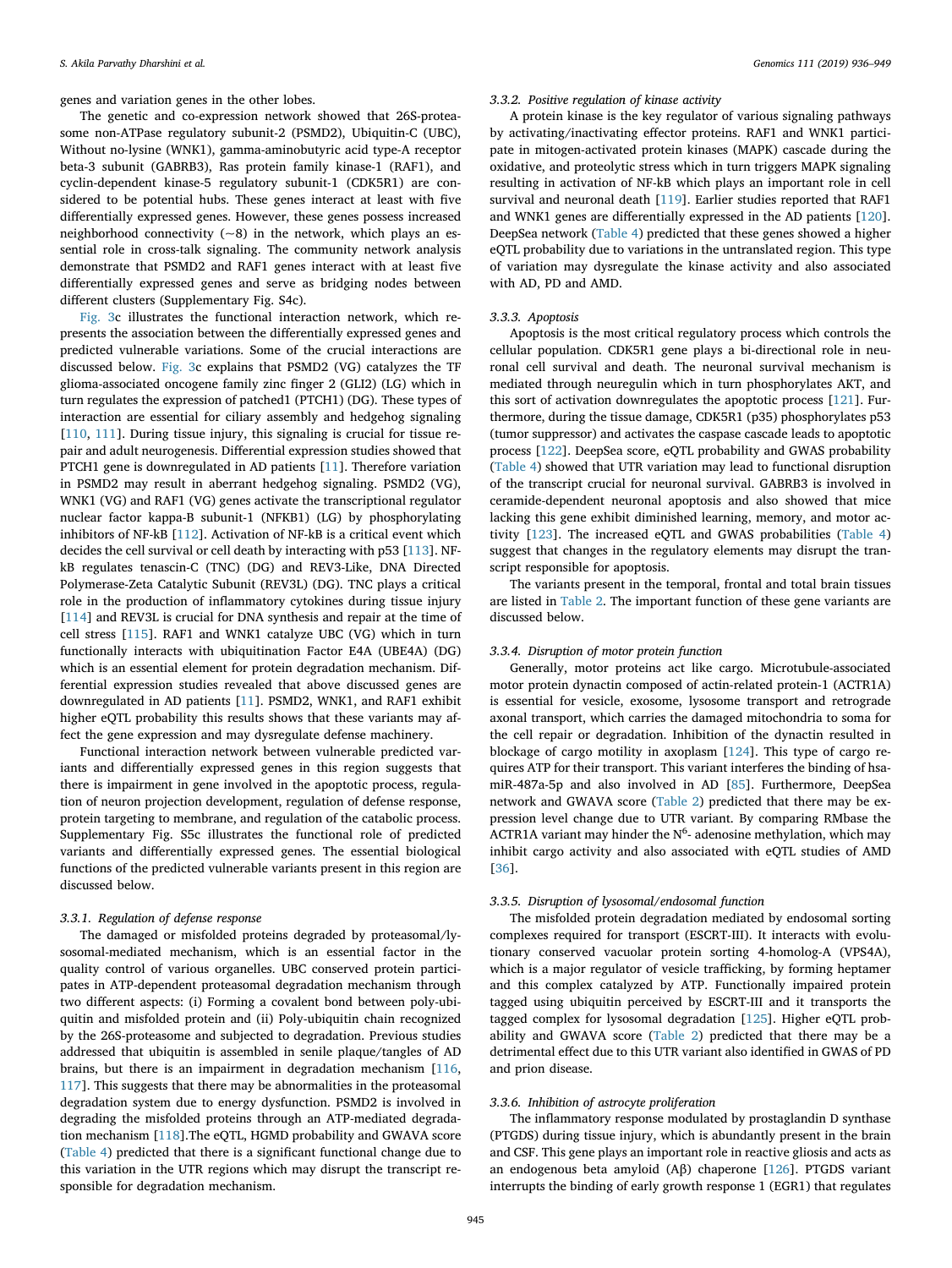genes and variation genes in the other lobes.

The genetic and co-expression network showed that 26S-proteasome non-ATPase regulatory subunit-2 (PSMD2), Ubiquitin-C (UBC), Without no-lysine (WNK1), gamma-aminobutyric acid type-A receptor beta-3 subunit (GABRB3), Ras protein family kinase-1 (RAF1), and cyclin-dependent kinase-5 regulatory subunit-1 (CDK5R1) are considered to be potential hubs. These genes interact at least with five differentially expressed genes. However, these genes possess increased neighborhood connectivity  $(-8)$  in the network, which plays an essential role in cross-talk signaling. The community network analysis demonstrate that PSMD2 and RAF1 genes interact with at least five differentially expressed genes and serve as bridging nodes between different clusters (Supplementary Fig. S4c).

Fig. 3c illustrates the functional interaction network, which represents the association between the differentially expressed genes and predicted vulnerable variations. Some of the crucial interactions are discussed below. Fig. 3c explains that PSMD2 (VG) catalyzes the TF glioma-associated oncogene family zinc finger 2 (GLI2) (LG) which in turn regulates the expression of patched1 (PTCH1) (DG). These types of interaction are essential for ciliary assembly and hedgehog signaling [110, 111]. During tissue injury, this signaling is crucial for tissue repair and adult neurogenesis. Differential expression studies showed that PTCH1 gene is downregulated in AD patients [11]. Therefore variation in PSMD2 may result in aberrant hedgehog signaling. PSMD2 (VG), WNK1 (VG) and RAF1 (VG) genes activate the transcriptional regulator nuclear factor kappa-B subunit-1 (NFKB1) (LG) by phosphorylating inhibitors of NF-kB [112]. Activation of NF-kB is a critical event which decides the cell survival or cell death by interacting with p53 [113]. NFkB regulates tenascin-C (TNC) (DG) and REV3-Like, DNA Directed Polymerase-Zeta Catalytic Subunit (REV3L) (DG). TNC plays a critical role in the production of inflammatory cytokines during tissue injury [114] and REV3L is crucial for DNA synthesis and repair at the time of cell stress [115]. RAF1 and WNK1 catalyze UBC (VG) which in turn functionally interacts with ubiquitination Factor E4A (UBE4A) (DG) which is an essential element for protein degradation mechanism. Differential expression studies revealed that above discussed genes are downregulated in AD patients [11]. PSMD2, WNK1, and RAF1 exhibit higher eQTL probability this results shows that these variants may affect the gene expression and may dysregulate defense machinery.

Functional interaction network between vulnerable predicted variants and differentially expressed genes in this region suggests that there is impairment in gene involved in the apoptotic process, regulation of neuron projection development, regulation of defense response, protein targeting to membrane, and regulation of the catabolic process. Supplementary Fig. S5c illustrates the functional role of predicted variants and differentially expressed genes. The essential biological functions of the predicted vulnerable variants present in this region are discussed below.

## *3.3.1. Regulation of defense response*

The damaged or misfolded proteins degraded by proteasomal/lysosomal-mediated mechanism, which is an essential factor in the quality control of various organelles. UBC conserved protein participates in ATP-dependent proteasomal degradation mechanism through two different aspects: (i) Forming a covalent bond between poly-ubiquitin and misfolded protein and (ii) Poly-ubiquitin chain recognized by the 26S-proteasome and subjected to degradation. Previous studies addressed that ubiquitin is assembled in senile plaque/tangles of AD brains, but there is an impairment in degradation mechanism [116, 117]. This suggests that there may be abnormalities in the proteasomal degradation system due to energy dysfunction. PSMD2 is involved in degrading the misfolded proteins through an ATP-mediated degradation mechanism [118].The eQTL, HGMD probability and GWAVA score (Table 4) predicted that there is a significant functional change due to this variation in the UTR regions which may disrupt the transcript responsible for degradation mechanism.

#### *3.3.2. Positive regulation of kinase activity*

A protein kinase is the key regulator of various signaling pathways by activating/inactivating effector proteins. RAF1 and WNK1 participate in mitogen-activated protein kinases (MAPK) cascade during the oxidative, and proteolytic stress which in turn triggers MAPK signaling resulting in activation of NF-kB which plays an important role in cell survival and neuronal death [119]. Earlier studies reported that RAF1 and WNK1 genes are differentially expressed in the AD patients [120]. DeepSea network (Table 4) predicted that these genes showed a higher eQTL probability due to variations in the untranslated region. This type of variation may dysregulate the kinase activity and also associated with AD, PD and AMD.

## *3.3.3. Apoptosis*

Apoptosis is the most critical regulatory process which controls the cellular population. CDK5R1 gene plays a bi-directional role in neuronal cell survival and death. The neuronal survival mechanism is mediated through neuregulin which in turn phosphorylates AKT, and this sort of activation downregulates the apoptotic process [121]. Furthermore, during the tissue damage, CDK5R1 (p35) phosphorylates p53 (tumor suppressor) and activates the caspase cascade leads to apoptotic process [122]. DeepSea score, eQTL probability and GWAS probability (Table 4) showed that UTR variation may lead to functional disruption of the transcript crucial for neuronal survival. GABRB3 is involved in ceramide-dependent neuronal apoptosis and also showed that mice lacking this gene exhibit diminished learning, memory, and motor activity [123]. The increased eQTL and GWAS probabilities (Table 4) suggest that changes in the regulatory elements may disrupt the transcript responsible for apoptosis.

The variants present in the temporal, frontal and total brain tissues are listed in Table 2. The important function of these gene variants are discussed below.

## *3.3.4. Disruption of motor protein function*

Generally, motor proteins act like cargo. Microtubule-associated motor protein dynactin composed of actin-related protein-1 (ACTR1A) is essential for vesicle, exosome, lysosome transport and retrograde axonal transport, which carries the damaged mitochondria to soma for the cell repair or degradation. Inhibition of the dynactin resulted in blockage of cargo motility in axoplasm [124]. This type of cargo requires ATP for their transport. This variant interferes the binding of hsamiR-487a-5p and also involved in AD [85]. Furthermore, DeepSea network and GWAVA score (Table 2) predicted that there may be expression level change due to UTR variant. By comparing RMbase the ACTR1A variant may hinder the  $N^6$ - adenosine methylation, which may inhibit cargo activity and also associated with eQTL studies of AMD [36].

#### *3.3.5. Disruption of lysosomal/endosomal function*

The misfolded protein degradation mediated by endosomal sorting complexes required for transport (ESCRT-III). It interacts with evolutionary conserved vacuolar protein sorting 4-homolog-A (VPS4A), which is a major regulator of vesicle trafficking, by forming heptamer and this complex catalyzed by ATP. Functionally impaired protein tagged using ubiquitin perceived by ESCRT-III and it transports the tagged complex for lysosomal degradation [125]. Higher eQTL probability and GWAVA score (Table 2) predicted that there may be a detrimental effect due to this UTR variant also identified in GWAS of PD and prion disease.

#### *3.3.6. Inhibition of astrocyte proliferation*

The inflammatory response modulated by prostaglandin D synthase (PTGDS) during tissue injury, which is abundantly present in the brain and CSF. This gene plays an important role in reactive gliosis and acts as an endogenous beta amyloid (Aβ) chaperone [126]. PTGDS variant interrupts the binding of early growth response 1 (EGR1) that regulates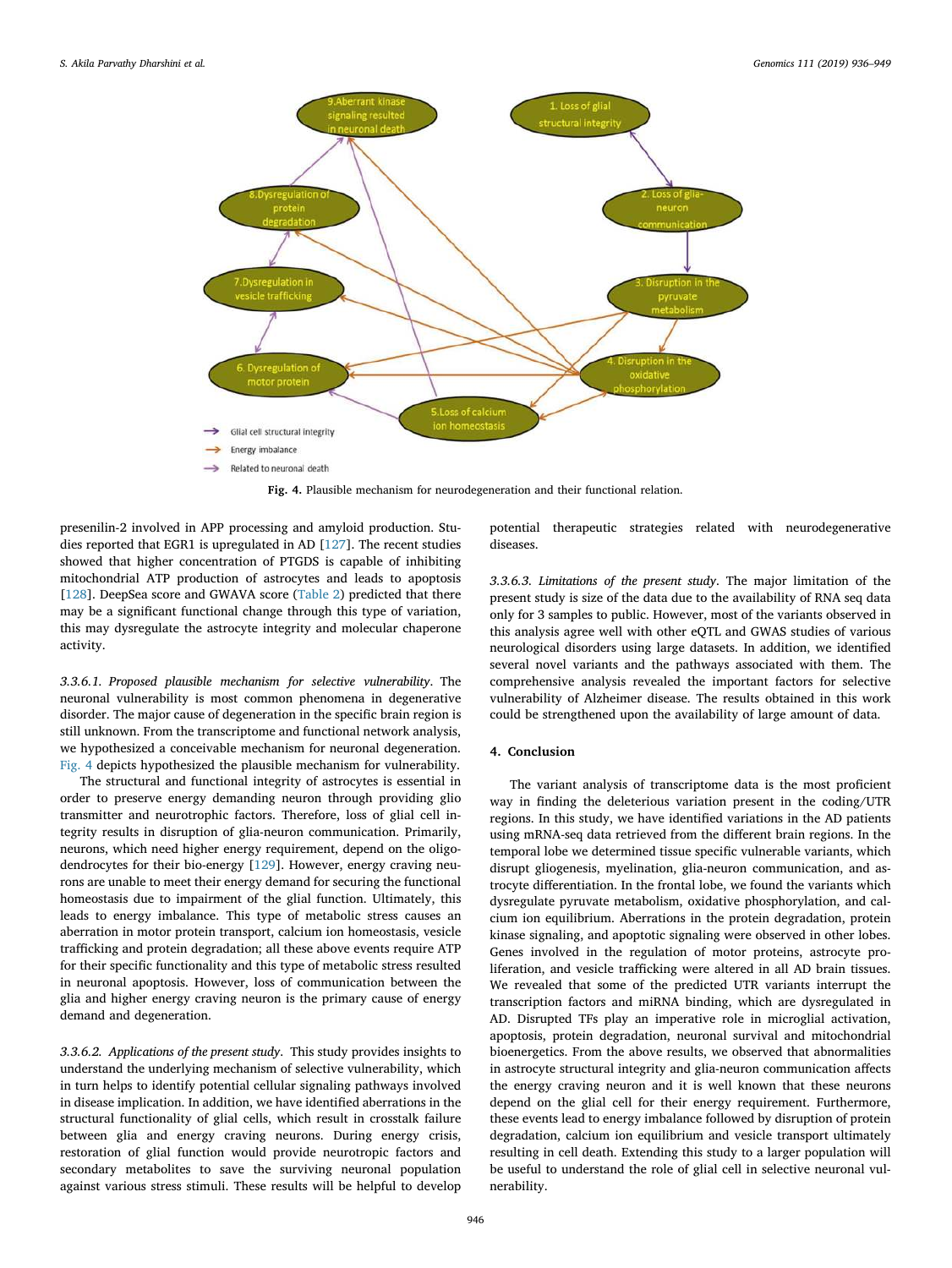

Fig. 4. Plausible mechanism for neurodegeneration and their functional relation.

presenilin-2 involved in APP processing and amyloid production. Studies reported that EGR1 is upregulated in AD [127]. The recent studies showed that higher concentration of PTGDS is capable of inhibiting mitochondrial ATP production of astrocytes and leads to apoptosis [128]. DeepSea score and GWAVA score (Table 2) predicted that there may be a significant functional change through this type of variation, this may dysregulate the astrocyte integrity and molecular chaperone activity.

*3.3.6.1. Proposed plausible mechanism for selective vulnerability*. The neuronal vulnerability is most common phenomena in degenerative disorder. The major cause of degeneration in the specific brain region is still unknown. From the transcriptome and functional network analysis, we hypothesized a conceivable mechanism for neuronal degeneration. Fig. 4 depicts hypothesized the plausible mechanism for vulnerability.

The structural and functional integrity of astrocytes is essential in order to preserve energy demanding neuron through providing glio transmitter and neurotrophic factors. Therefore, loss of glial cell integrity results in disruption of glia-neuron communication. Primarily, neurons, which need higher energy requirement, depend on the oligodendrocytes for their bio-energy [129]. However, energy craving neurons are unable to meet their energy demand for securing the functional homeostasis due to impairment of the glial function. Ultimately, this leads to energy imbalance. This type of metabolic stress causes an aberration in motor protein transport, calcium ion homeostasis, vesicle trafficking and protein degradation; all these above events require ATP for their specific functionality and this type of metabolic stress resulted in neuronal apoptosis. However, loss of communication between the glia and higher energy craving neuron is the primary cause of energy demand and degeneration.

*3.3.6.2. Applications of the present study*. This study provides insights to understand the underlying mechanism of selective vulnerability, which in turn helps to identify potential cellular signaling pathways involved in disease implication. In addition, we have identified aberrations in the structural functionality of glial cells, which result in crosstalk failure between glia and energy craving neurons. During energy crisis, restoration of glial function would provide neurotropic factors and secondary metabolites to save the surviving neuronal population against various stress stimuli. These results will be helpful to develop

potential therapeutic strategies related with neurodegenerative diseases.

*3.3.6.3. Limitations of the present study*. The major limitation of the present study is size of the data due to the availability of RNA seq data only for 3 samples to public. However, most of the variants observed in this analysis agree well with other eQTL and GWAS studies of various neurological disorders using large datasets. In addition, we identified several novel variants and the pathways associated with them. The comprehensive analysis revealed the important factors for selective vulnerability of Alzheimer disease. The results obtained in this work could be strengthened upon the availability of large amount of data.

## 4. Conclusion

The variant analysis of transcriptome data is the most proficient way in finding the deleterious variation present in the coding/UTR regions. In this study, we have identified variations in the AD patients using mRNA-seq data retrieved from the different brain regions. In the temporal lobe we determined tissue specific vulnerable variants, which disrupt gliogenesis, myelination, glia-neuron communication, and astrocyte differentiation. In the frontal lobe, we found the variants which dysregulate pyruvate metabolism, oxidative phosphorylation, and calcium ion equilibrium. Aberrations in the protein degradation, protein kinase signaling, and apoptotic signaling were observed in other lobes. Genes involved in the regulation of motor proteins, astrocyte proliferation, and vesicle trafficking were altered in all AD brain tissues. We revealed that some of the predicted UTR variants interrupt the transcription factors and miRNA binding, which are dysregulated in AD. Disrupted TFs play an imperative role in microglial activation, apoptosis, protein degradation, neuronal survival and mitochondrial bioenergetics. From the above results, we observed that abnormalities in astrocyte structural integrity and glia-neuron communication affects the energy craving neuron and it is well known that these neurons depend on the glial cell for their energy requirement. Furthermore, these events lead to energy imbalance followed by disruption of protein degradation, calcium ion equilibrium and vesicle transport ultimately resulting in cell death. Extending this study to a larger population will be useful to understand the role of glial cell in selective neuronal vulnerability.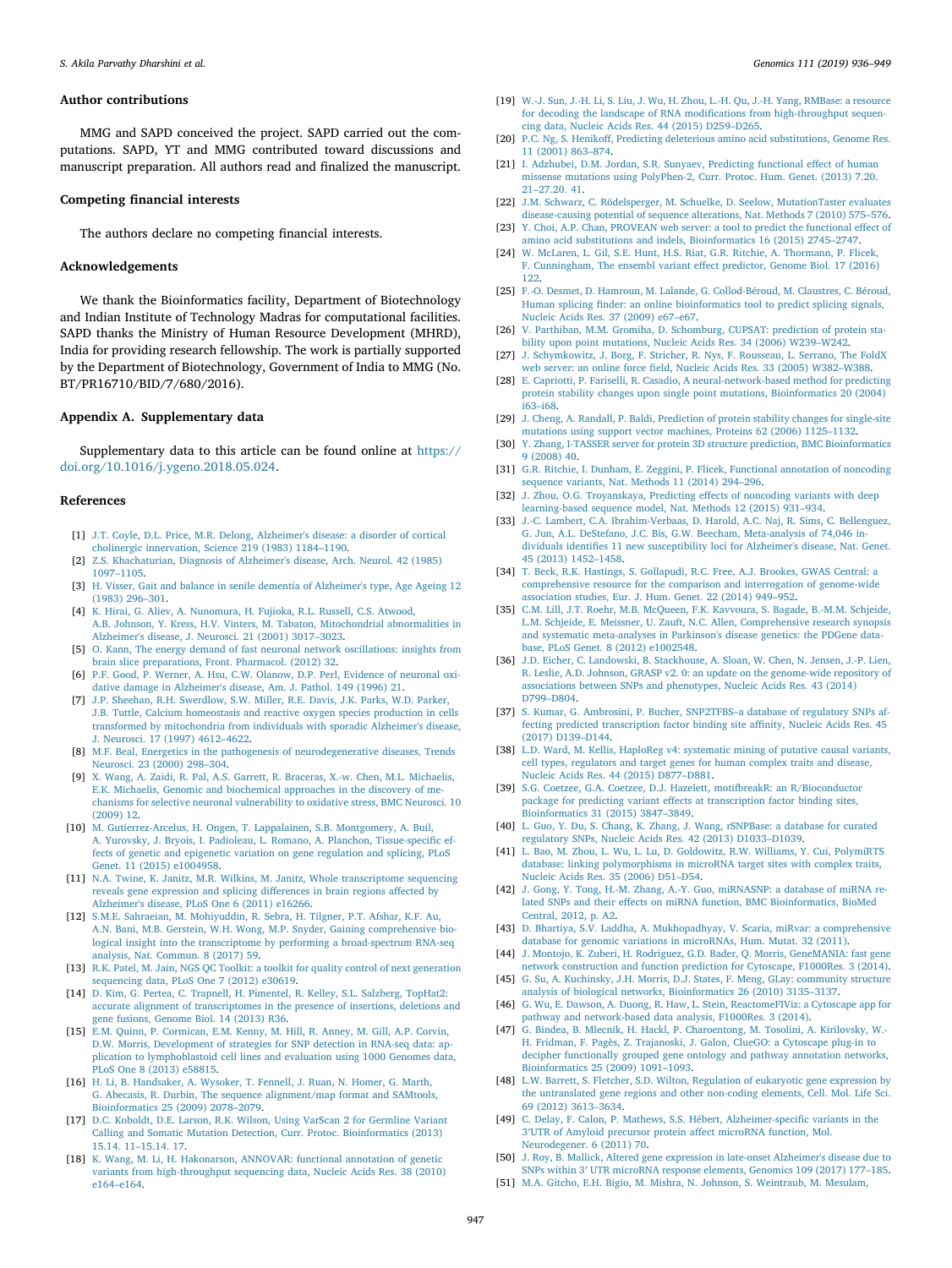#### Author contributions

MMG and SAPD conceived the project. SAPD carried out the computations. SAPD, YT and MMG contributed toward discussions and manuscript preparation. All authors read and finalized the manuscript.

#### Competing financial interests

The authors declare no competing financial interests.

## Acknowledgements

We thank the Bioinformatics facility, Department of Biotechnology and Indian Institute of Technology Madras for computational facilities. SAPD thanks the Ministry of Human Resource Development (MHRD), India for providing research fellowship. The work is partially supported by the Department of Biotechnology, Government of India to MMG (No. BT/PR16710/BID/7/680/2016).

#### Appendix A. Supplementary data

Supplementary data to this article can be found online at https:// doi.org/10.1016/j.ygeno.2018.05.024.

#### References

- [1] J.T. Coyle, D.L. Price, M.R. Delong, Alzheimer's disease: a disorder of cortical cholinergic innervation, Science 219 (1983) 1184–1190.
- [2] Z.S. Khachaturian, Diagnosis of Alzheimer's disease, Arch. Neurol. 42 (1985) 1097–1105.
- [3] H. Visser, Gait and balance in senile dementia of Alzheimer's type, Age Ageing 12 (1983) 296–301.
- [4] K. Hirai, G. Aliev, A. Nunomura, H. Fujioka, R.L. Russell, C.S. Atwood, A.B. Johnson, Y. Kress, H.V. Vinters, M. Tabaton, Mitochondrial abnormalities in Alzheimer's disease, J. Neurosci. 21 (2001) 3017–3023.
- [5] O. Kann, The energy demand of fast neuronal network oscillations: insights from brain slice preparations, Front. Pharmacol. (2012) 32.
- [6] P.F. Good, P. Werner, A. Hsu, C.W. Olanow, D.P. Perl, Evidence of neuronal oxidative damage in Alzheimer's disease, Am. J. Pathol. 149 (1996) 21.
- [7] J.P. Sheehan, R.H. Swerdlow, S.W. Miller, R.E. Davis, J.K. Parks, W.D. Parker, J.B. Tuttle, Calcium homeostasis and reactive oxygen species production in cells transformed by mitochondria from individuals with sporadic Alzheimer's disease, J. Neurosci. 17 (1997) 4612–4622.
- [8] M.F. Beal, Energetics in the pathogenesis of neurodegenerative diseases, Trends Neurosci. 23 (2000) 298–304.
- X. Wang, A. Zaidi, R. Pal, A.S. Garrett, R. Braceras, X.-w. Chen, M.L. Michaelis, E.K. Michaelis, Genomic and biochemical approaches in the discovery of mechanisms for selective neuronal vulnerability to oxidative stress, BMC Neurosci. 10 (2009) 12.
- [10] M. Gutierrez-Arcelus, H. Ongen, T. Lappalainen, S.B. Montgomery, A. Buil, A. Yurovsky, J. Bryois, I. Padioleau, L. Romano, A. Planchon, Tissue-specific effects of genetic and epigenetic variation on gene regulation and splicing, PLoS Genet. 11 (2015) e1004958.
- [11] N.A. Twine, K. Janitz, M.R. Wilkins, M. Janitz, Whole transcriptome sequencing reveals gene expression and splicing differences in brain regions affected by Alzheimer's disease, PLoS One 6 (2011) e16266.
- [12] S.M.E. Sahraeian, M. Mohiyuddin, R. Sebra, H. Tilgner, P.T. Afshar, K.F. Au, A.N. Bani, M.B. Gerstein, W.H. Wong, M.P. Snyder, Gaining comprehensive biological insight into the transcriptome by performing a broad-spectrum RNA-seq analysis, Nat. Commun. 8 (2017) 59.
- [13] R.K. Patel, M. Jain, NGS QC Toolkit: a toolkit for quality control of next generation sequencing data, PLoS One 7 (2012) e30619.
- [14] D. Kim, G. Pertea, C. Trapnell, H. Pimentel, R. Kelley, S.L. Salzberg, TopHat2: accurate alignment of transcriptomes in the presence of insertions, deletions and gene fusions, Genome Biol. 14 (2013) R36.
- [15] E.M. Quinn, P. Cormican, E.M. Kenny, M. Hill, R. Anney, M. Gill, A.P. Corvin, D.W. Morris, Development of strategies for SNP detection in RNA-seq data: application to lymphoblastoid cell lines and evaluation using 1000 Genomes data, PLoS One 8 (2013) e58815.
- [16] H. Li, B. Handsaker, A. Wysoker, T. Fennell, J. Ruan, N. Homer, G. Marth, G. Abecasis, R. Durbin, The sequence alignment/map format and SAMtools, Bioinformatics 25 (2009) 2078–2079.
- [17] D.C. Koboldt, D.E. Larson, R.K. Wilson, Using VarScan 2 for Germline Variant Calling and Somatic Mutation Detection, Curr. Protoc. Bioinformatics (2013) 15.14. 11–15.14. 17.
- [18] K. Wang, M. Li, H. Hakonarson, ANNOVAR: functional annotation of genetic variants from high-throughput sequencing data, Nucleic Acids Res. 38 (2010) e164–e164.
- [19] W.-J. Sun, J.-H. Li, S. Liu, J. Wu, H. Zhou, L.-H. Qu, J.-H. Yang, RMBase: a resource for decoding the landscape of RNA modifications from high-throughput sequencing data, Nucleic Acids Res. 44 (2015) D259–D265.
- [20] P.C. Ng, S. Henikoff, Predicting deleterious amino acid substitutions, Genome Res. 11 (2001) 863–874.
- [21] I. Adzhubei, D.M. Jordan, S.R. Sunyaev, Predicting functional effect of human missense mutations using PolyPhen-2, Curr. Protoc. Hum. Genet. (2013) 7.20. 21–27.20. 41.
- [22] J.M. Schwarz, C. Rödelsperger, M. Schuelke, D. Seelow, MutationTaster evaluates disease-causing potential of sequence alterations, Nat. Methods 7 (2010) 575–576.
- [23] Y. Choi, A.P. Chan, PROVEAN web server: a tool to predict the functional effect of amino acid substitutions and indels, Bioinformatics 16 (2015) 2745–2747.
- [24] W. McLaren, L. Gil, S.E. Hunt, H.S. Riat, G.R. Ritchie, A. Thormann, P. Flicek, F. Cunningham, The ensembl variant effect predictor, Genome Biol. 17 (2016)
- 122. [25] F.-O. Desmet, D. Hamroun, M. Lalande, G. Collod-Béroud, M. Claustres, C. Béroud, Human splicing finder: an online bioinformatics tool to predict splicing signals, Nucleic Acids Res. 37 (2009) e67–e67.
- [26] V. Parthiban, M.M. Gromiha, D. Schomburg, CUPSAT: prediction of protein stability upon point mutations, Nucleic Acids Res. 34 (2006) W239–W242.
- [27] J. Schymkowitz, J. Borg, F. Stricher, R. Nys, F. Rousseau, L. Serrano, The FoldX web server: an online force field, Nucleic Acids Res. 33 (2005) W382–W388.
- [28] E. Capriotti, P. Fariselli, R. Casadio, A neural-network-based method for predicting protein stability changes upon single point mutations, Bioinformatics 20 (2004) i63–i68.
- [29] J. Cheng, A. Randall, P. Baldi, Prediction of protein stability changes for single-site mutations using support vector machines, Proteins 62 (2006) 1125–1132.
- [30] Y. Zhang, I-TASSER server for protein 3D structure prediction, BMC Bioinformatics 9 (2008) 40.
- [31] G.R. Ritchie, I. Dunham, E. Zeggini, P. Flicek, Functional annotation of noncoding sequence variants, Nat. Methods 11 (2014) 294–296.
- [32] J. Zhou, O.G. Troyanskaya, Predicting effects of noncoding variants with deep learning-based sequence model, Nat. Methods 12 (2015) 931–934.
- [33] J.-C. Lambert, C.A. Ibrahim-Verbaas, D. Harold, A.C. Naj, R. Sims, C. Bellenguez, G. Jun, A.L. DeStefano, J.C. Bis, G.W. Beecham, Meta-analysis of 74,046 individuals identifies 11 new susceptibility loci for Alzheimer's disease, Nat. Genet. 45 (2013) 1452–1458.
- [34] T. Beck, R.K. Hastings, S. Gollapudi, R.C. Free, A.J. Brookes, GWAS Central: a comprehensive resource for the comparison and interrogation of genome-wide association studies, Eur. J. Hum. Genet. 22 (2014) 949–952.
- [35] C.M. Lill, J.T. Roehr, M.B. McQueen, F.K. Kavvoura, S. Bagade, B.-M.M. Schjeide, L.M. Schjeide, E. Meissner, U. Zauft, N.C. Allen, Comprehensive research synopsis and systematic meta-analyses in Parkinson's disease genetics: the PDGene database, PLoS Genet. 8 (2012) e1002548.
- [36] J.D. Eicher, C. Landowski, B. Stackhouse, A. Sloan, W. Chen, N. Jensen, J.-P. Lien, R. Leslie, A.D. Johnson, GRASP v2. 0: an update on the genome-wide repository of associations between SNPs and phenotypes, Nucleic Acids Res. 43 (2014) D799–D804.
- [37] S. Kumar, G. Ambrosini, P. Bucher, SNP2TFBS-a database of regulatory SNPs affecting predicted transcription factor binding site affinity, Nucleic Acids Res. 45 (2017) D139–D144.
- [38] L.D. Ward, M. Kellis, HaploReg v4: systematic mining of putative causal variants, cell types, regulators and target genes for human complex traits and disease, Nucleic Acids Res. 44 (2015) D877–D881.
- [39] S.G. Coetzee, G.A. Coetzee, D.J. Hazelett, motifbreakR: an R/Bioconductor package for predicting variant effects at transcription factor binding sites, Bioinformatics 31 (2015) 3847–3849.
- [40] L. Guo, Y. Du, S. Chang, K. Zhang, J. Wang, rSNPBase: a database for curated regulatory SNPs, Nucleic Acids Res. 42 (2013) D1033–D1039.
- [41] L. Bao, M. Zhou, L. Wu, L. Lu, D. Goldowitz, R.W. Williams, Y. Cui, PolymiRTS database: linking polymorphisms in microRNA target sites with complex traits, Nucleic Acids Res. 35 (2006) D51–D54.
- [42] J. Gong, Y. Tong, H.-M. Zhang, A.-Y. Guo, miRNASNP: a database of miRNA related SNPs and their effects on miRNA function, BMC Bioinformatics, BioMed Central, 2012, p. A2.
- [43] D. Bhartiya, S.V. Laddha, A. Mukhopadhyay, V. Scaria, miRvar: a comprehensive database for genomic variations in microRNAs, Hum. Mutat. 32 (2011).
- [44] J. Montojo, K. Zuberi, H. Rodriguez, G.D. Bader, Q. Morris, GeneMANIA: fast gene network construction and function prediction for Cytoscape, F1000Res. 3 (2014).
- [45] G. Su, A. Kuchinsky, J.H. Morris, D.J. States, F. Meng, GLay: community structure analysis of biological networks, Bioinformatics 26 (2010) 3135–3137.
- [46] G. Wu, E. Dawson, A. Duong, R. Haw, L. Stein, ReactomeFIViz: a Cytoscape app for pathway and network-based data analysis, F1000Res. 3 (2014).
- [47] G. Bindea, B. Mlecnik, H. Hackl, P. Charoentong, M. Tosolini, A. Kirilovsky, W.- H. Fridman, F. Pagès, Z. Trajanoski, J. Galon, ClueGO: a Cytoscape plug-in to decipher functionally grouped gene ontology and pathway annotation networks, Bioinformatics 25 (2009) 1091–1093.
- [48] L.W. Barrett, S. Fletcher, S.D. Wilton, Regulation of eukaryotic gene expression by the untranslated gene regions and other non-coding elements, Cell. Mol. Life Sci. 69 (2012) 3613–3634.
- [49] C. Delay, F. Calon, P. Mathews, S.S. Hébert, Alzheimer-specific variants in the 3′UTR of Amyloid precursor protein affect microRNA function, Mol. Neurodegener. 6 (2011) 70.
- [50] J. Roy, B. Mallick, Altered gene expression in late-onset Alzheimer's disease due to SNPs within 3′ UTR microRNA response elements, Genomics 109 (2017) 177–185.
- [51] M.A. Gitcho, E.H. Bigio, M. Mishra, N. Johnson, S. Weintraub, M. Mesulam,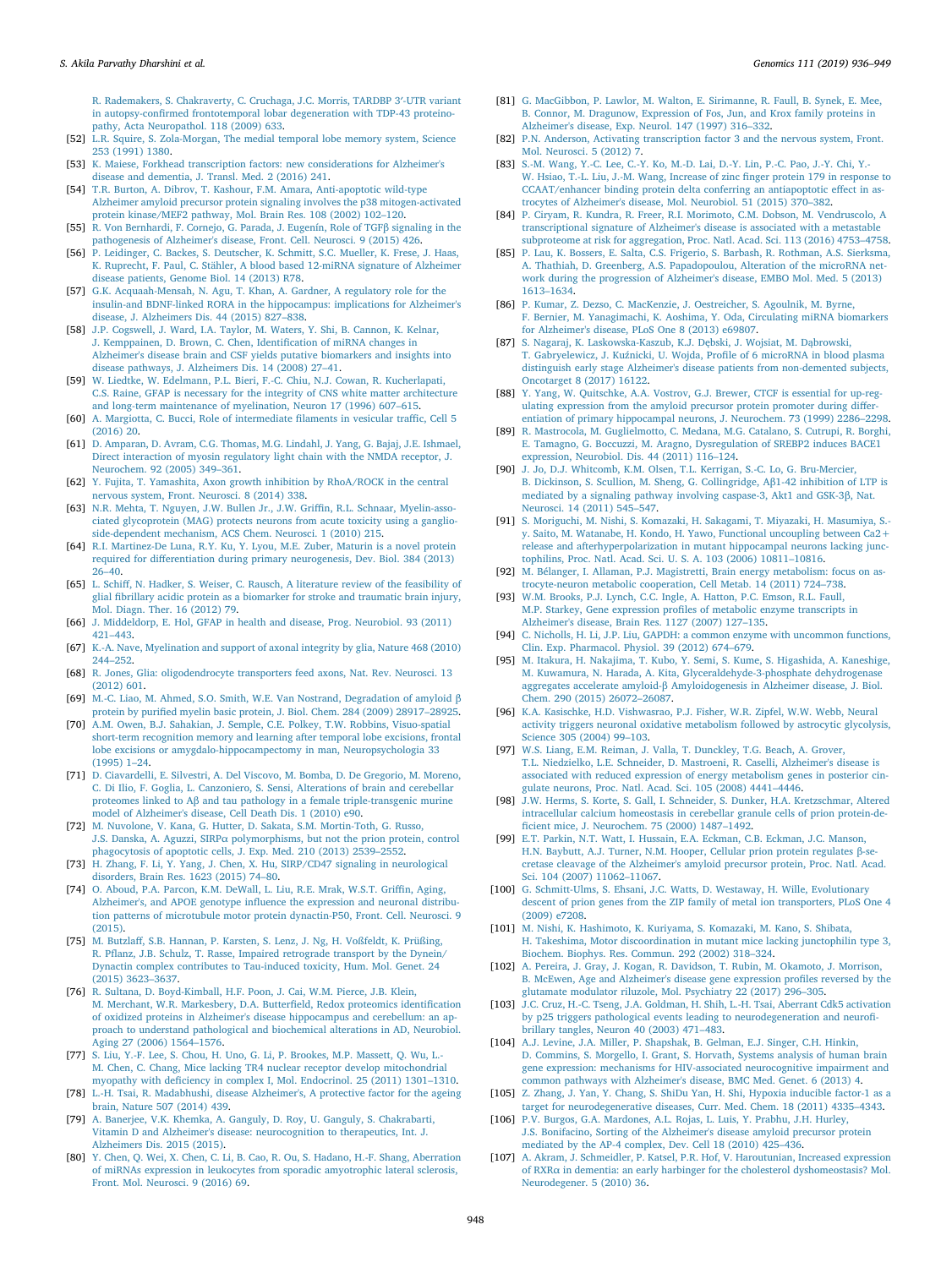R. Rademakers, S. Chakraverty, C. Cruchaga, J.C. Morris, TARDBP 3′-UTR variant in autopsy-confirmed frontotemporal lobar degeneration with TDP-43 proteinopathy, Acta Neuropathol. 118 (2009) 633.

- [52] L.R. Squire, S. Zola-Morgan, The medial temporal lobe memory system, Science 253 (1991) 1380.
- [53] K. Maiese, Forkhead transcription factors: new considerations for Alzheimer's disease and dementia, J. Transl. Med. 2 (2016) 241.
- [54] T.R. Burton, A. Dibrov, T. Kashour, F.M. Amara, Anti-apoptotic wild-type Alzheimer amyloid precursor protein signaling involves the p38 mitogen-activated protein kinase/MEF2 pathway, Mol. Brain Res. 108 (2002) 102–120.
- [55] R. Von Bernhardi, F. Cornejo, G. Parada, J. Eugenín, Role of TGFβ signaling in the pathogenesis of Alzheimer's disease, Front. Cell. Neurosci. 9 (2015) 426.
- [56] P. Leidinger, C. Backes, S. Deutscher, K. Schmitt, S.C. Mueller, K. Frese, J. Haas, K. Ruprecht, F. Paul, C. Stähler, A blood based 12-miRNA signature of Alzheimer disease patients, Genome Biol. 14 (2013) R78.
- [57] G.K. Acquaah-Mensah, N. Agu, T. Khan, A. Gardner, A regulatory role for the insulin-and BDNF-linked RORA in the hippocampus: implications for Alzheimer's disease, J. Alzheimers Dis. 44 (2015) 827–838.
- [58] J.P. Cogswell, J. Ward, I.A. Taylor, M. Waters, Y. Shi, B. Cannon, K. Kelnar, J. Kemppainen, D. Brown, C. Chen, Identification of miRNA changes in Alzheimer's disease brain and CSF yields putative biomarkers and insights into disease pathways, J. Alzheimers Dis. 14 (2008) 27–41.
- [59] W. Liedtke, W. Edelmann, P.L. Bieri, F.-C. Chiu, N.J. Cowan, R. Kucherlapati, C.S. Raine, GFAP is necessary for the integrity of CNS white matter architecture and long-term maintenance of myelination, Neuron 17 (1996) 607–615.
- [60] A. Margiotta, C. Bucci, Role of intermediate filaments in vesicular traffic, Cell 5 (2016) 20.
- [61] D. Amparan, D. Avram, C.G. Thomas, M.G. Lindahl, J. Yang, G. Bajaj, J.E. Ishmael, Direct interaction of myosin regulatory light chain with the NMDA receptor, J. Neurochem. 92 (2005) 349–361.
- [62] Y. Fujita, T. Yamashita, Axon growth inhibition by RhoA/ROCK in the central nervous system, Front. Neurosci. 8 (2014) 338.
- [63] N.R. Mehta, T. Nguyen, J.W. Bullen Jr., J.W. Griffin, R.L. Schnaar, Myelin-associated glycoprotein (MAG) protects neurons from acute toxicity using a ganglioside-dependent mechanism, ACS Chem. Neurosci. 1 (2010) 215.
- [64] R.I. Martinez-De Luna, R.Y. Ku, Y. Lyou, M.E. Zuber, Maturin is a novel protein required for differentiation during primary neurogenesis, Dev. Biol. 384 (2013) 26–40.
- [65] L. Schiff, N. Hadker, S. Weiser, C. Rausch, A literature review of the feasibility of glial fibrillary acidic protein as a biomarker for stroke and traumatic brain injury, Mol. Diagn. Ther. 16 (2012) 79.
- [66] J. Middeldorp, E. Hol, GFAP in health and disease, Prog. Neurobiol. 93 (2011) 421–443.
- [67] K.-A. Nave, Myelination and support of axonal integrity by glia, Nature 468 (2010) 244–252.
- [68] R. Jones, Glia: oligodendrocyte transporters feed axons, Nat. Rev. Neurosci. 13 (2012) 601.
- [69] M.-C. Liao, M. Ahmed, S.O. Smith, W.E. Van Nostrand, Degradation of amyloid β protein by purified myelin basic protein, J. Biol. Chem. 284 (2009) 28917–28925.
- [70] A.M. Owen, B.J. Sahakian, J. Semple, C.E. Polkey, T.W. Robbins, Visuo-spatial short-term recognition memory and learning after temporal lobe excisions, frontal lobe excisions or amygdalo-hippocampectomy in man, Neuropsychologia 33 (1995) 1–24.
- [71] D. Ciavardelli, E. Silvestri, A. Del Viscovo, M. Bomba, D. De Gregorio, M. Moreno, C. Di Ilio, F. Goglia, L. Canzoniero, S. Sensi, Alterations of brain and cerebellar proteomes linked to Aβ and tau pathology in a female triple-transgenic murine model of Alzheimer's disease, Cell Death Dis. 1 (2010) e90.
- [72] M. Nuvolone, V. Kana, G. Hutter, D. Sakata, S.M. Mortin-Toth, G. Russo, J.S. Danska, A. Aguzzi, SIRPα polymorphisms, but not the prion protein, control phagocytosis of apoptotic cells, J. Exp. Med. 210 (2013) 2539–2552.
- [73] H. Zhang, F. Li, Y. Yang, J. Chen, X. Hu, SIRP/CD47 signaling in neurological disorders, Brain Res. 1623 (2015) 74–80.
- [74] O. Aboud, P.A. Parcon, K.M. DeWall, L. Liu, R.E. Mrak, W.S.T. Griffin, Aging, Alzheimer's, and APOE genotype influence the expression and neuronal distribution patterns of microtubule motor protein dynactin-P50, Front. Cell. Neurosci. 9 (2015).
- [75] M. Butzlaff, S.B. Hannan, P. Karsten, S. Lenz, J. Ng, H. Voßfeldt, K. Prüßing, R. Pflanz, J.B. Schulz, T. Rasse, Impaired retrograde transport by the Dynein/ Dynactin complex contributes to Tau-induced toxicity, Hum. Mol. Genet. 24 (2015) 3623–3637.
- [76] R. Sultana, D. Boyd-Kimball, H.F. Poon, J. Cai, W.M. Pierce, J.B. Klein, M. Merchant, W.R. Markesbery, D.A. Butterfield, Redox proteomics identification of oxidized proteins in Alzheimer's disease hippocampus and cerebellum: an approach to understand pathological and biochemical alterations in AD, Neurobiol. Aging 27 (2006) 1564–1576.
- [77] S. Liu, Y.-F. Lee, S. Chou, H. Uno, G. Li, P. Brookes, M.P. Massett, Q. Wu, L.- M. Chen, C. Chang, Mice lacking TR4 nuclear receptor develop mitochondrial myopathy with deficiency in complex I, Mol. Endocrinol. 25 (2011) 1301–1310.
- [78] L.-H. Tsai, R. Madabhushi, disease Alzheimer's, A protective factor for the ageing brain, Nature 507 (2014) 439.
- [79] A. Banerjee, V.K. Khemka, A. Ganguly, D. Roy, U. Ganguly, S. Chakrabarti, Vitamin D and Alzheimer's disease: neurocognition to therapeutics, Int. J. Alzheimers Dis. 2015 (2015).
- [80] Y. Chen, Q. Wei, X. Chen, C. Li, B. Cao, R. Ou, S. Hadano, H.-F. Shang, Aberration of miRNAs expression in leukocytes from sporadic amyotrophic lateral sclerosis, Front. Mol. Neurosci. 9 (2016) 69.
- [81] G. MacGibbon, P. Lawlor, M. Walton, E. Sirimanne, R. Faull, B. Synek, E. Mee, B. Connor, M. Dragunow, Expression of Fos, Jun, and Krox family proteins in Alzheimer's disease, Exp. Neurol. 147 (1997) 316–332.
- [82] P.N. Anderson, Activating transcription factor 3 and the nervous system, Front. Mol. Neurosci. 5 (2012) 7.
- [83] S.-M. Wang, Y.-C. Lee, C.-Y. Ko, M.-D. Lai, D.-Y. Lin, P.-C. Pao, J.-Y. Chi, Y.- W. Hsiao, T.-L. Liu, J.-M. Wang, Increase of zinc finger protein 179 in response to CCAAT/enhancer binding protein delta conferring an antiapoptotic effect in astrocytes of Alzheimer's disease, Mol. Neurobiol. 51 (2015) 370–382.
- [84] P. Ciryam, R. Kundra, R. Freer, R.I. Morimoto, C.M. Dobson, M. Vendruscolo, A transcriptional signature of Alzheimer's disease is associated with a metastable subproteome at risk for aggregation, Proc. Natl. Acad. Sci. 113 (2016) 4753–4758.
- [85] P. Lau, K. Bossers, E. Salta, C.S. Frigerio, S. Barbash, R. Rothman, A.S. Sierksma, A. Thathiah, D. Greenberg, A.S. Papadopoulou, Alteration of the microRNA network during the progression of Alzheimer's disease, EMBO Mol. Med. 5 (2013) 1613–1634.
- [86] P. Kumar, Z. Dezso, C. MacKenzie, J. Oestreicher, S. Agoulnik, M. Byrne, F. Bernier, M. Yanagimachi, K. Aoshima, Y. Oda, Circulating miRNA biomarkers for Alzheimer's disease, PLoS One 8 (2013) e69807.
- [87] S. Nagaraj, K. Laskowska-Kaszub, K.J. Dębski, J. Wojsiat, M. Dąbrowski, T. Gabryelewicz, J. Kuźnicki, U. Wojda, Profile of 6 microRNA in blood plasma distinguish early stage Alzheimer's disease patients from non-demented subjects, Oncotarget 8 (2017) 16122.
- [88] Y. Yang, W. Quitschke, A.A. Vostrov, G.J. Brewer, CTCF is essential for up-regulating expression from the amyloid precursor protein promoter during differentiation of primary hippocampal neurons, J. Neurochem. 73 (1999) 2286–2298.
- [89] R. Mastrocola, M. Guglielmotto, C. Medana, M.G. Catalano, S. Cutrupi, R. Borghi, E. Tamagno, G. Boccuzzi, M. Aragno, Dysregulation of SREBP2 induces BACE1 expression, Neurobiol. Dis. 44 (2011) 116–124.
- [90] J. Jo, D.J. Whitcomb, K.M. Olsen, T.L. Kerrigan, S.-C. Lo, G. Bru-Mercier, B. Dickinson, S. Scullion, M. Sheng, G. Collingridge, Aβ1-42 inhibition of LTP is mediated by a signaling pathway involving caspase-3, Akt1 and GSK-3β, Nat. Neurosci. 14 (2011) 545–547.
- [91] S. Moriguchi, M. Nishi, S. Komazaki, H. Sakagami, T. Miyazaki, H. Masumiya, S. y. Saito, M. Watanabe, H. Kondo, H. Yawo, Functional uncoupling between Ca2+ release and afterhyperpolarization in mutant hippocampal neurons lacking junctophilins, Proc. Natl. Acad. Sci. U. S. A. 103 (2006) 10811–10816.
- [92] M. Bélanger, I. Allaman, P.J. Magistretti, Brain energy metabolism: focus on astrocyte-neuron metabolic cooperation, Cell Metab. 14 (2011) 724–738.
- [93] W.M. Brooks, P.J. Lynch, C.C. Ingle, A. Hatton, P.C. Emson, R.L. Faull, M.P. Starkey, Gene expression profiles of metabolic enzyme transcripts in Alzheimer's disease, Brain Res. 1127 (2007) 127–135.
- [94] C. Nicholls, H. Li, J.P. Liu, GAPDH: a common enzyme with uncommon functions, Clin. Exp. Pharmacol. Physiol. 39 (2012) 674–679.
- [95] M. Itakura, H. Nakajima, T. Kubo, Y. Semi, S. Kume, S. Higashida, A. Kaneshige, M. Kuwamura, N. Harada, A. Kita, Glyceraldehyde-3-phosphate dehydrogenase aggregates accelerate amyloid-β Amyloidogenesis in Alzheimer disease, J. Biol. Chem. 290 (2015) 26072–26087.
- [96] K.A. Kasischke, H.D. Vishwasrao, P.J. Fisher, W.R. Zipfel, W.W. Webb, Neural activity triggers neuronal oxidative metabolism followed by astrocytic glycolysis, Science 305 (2004) 99–103.
- [97] W.S. Liang, E.M. Reiman, J. Valla, T. Dunckley, T.G. Beach, A. Grover, T.L. Niedzielko, L.E. Schneider, D. Mastroeni, R. Caselli, Alzheimer's disease is associated with reduced expression of energy metabolism genes in posterior cingulate neurons, Proc. Natl. Acad. Sci. 105 (2008) 4441–4446.
- [98] J.W. Herms, S. Korte, S. Gall, I. Schneider, S. Dunker, H.A. Kretzschmar, Altered intracellular calcium homeostasis in cerebellar granule cells of prion protein-deficient mice, J. Neurochem. 75 (2000) 1487–1492.
- [99] E.T. Parkin, N.T. Watt, I. Hussain, E.A. Eckman, C.B. Eckman, J.C. Manson, H.N. Baybutt, A.J. Turner, N.M. Hooper, Cellular prion protein regulates β-secretase cleavage of the Alzheimer's amyloid precursor protein, Proc. Natl. Acad. Sci. 104 (2007) 11062–11067.
- [100] G. Schmitt-Ulms, S. Ehsani, J.C. Watts, D. Westaway, H. Wille, Evolutionary descent of prion genes from the ZIP family of metal ion transporters, PLoS One 4 (2009) e7208.
- [101] M. Nishi, K. Hashimoto, K. Kuriyama, S. Komazaki, M. Kano, S. Shibata, H. Takeshima, Motor discoordination in mutant mice lacking junctophilin type 3, Biochem. Biophys. Res. Commun. 292 (2002) 318–324.
- [102] A. Pereira, J. Gray, J. Kogan, R. Davidson, T. Rubin, M. Okamoto, J. Morrison, B. McEwen, Age and Alzheimer's disease gene expression profiles reversed by the glutamate modulator riluzole, Mol. Psychiatry 22 (2017) 296–305.
- [103] J.C. Cruz, H.-C. Tseng, J.A. Goldman, H. Shih, L.-H. Tsai, Aberrant Cdk5 activation by p25 triggers pathological events leading to neurodegeneration and neurofibrillary tangles, Neuron 40 (2003) 471–483.
- [104] A.J. Levine, J.A. Miller, P. Shapshak, B. Gelman, E.J. Singer, C.H. Hinkin, D. Commins, S. Morgello, I. Grant, S. Horvath, Systems analysis of human brain gene expression: mechanisms for HIV-associated neurocognitive impairment and common pathways with Alzheimer's disease, BMC Med. Genet. 6 (2013) 4.
- [105] Z. Zhang, J. Yan, Y. Chang, S. ShiDu Yan, H. Shi, Hypoxia inducible factor-1 as a target for neurodegenerative diseases, Curr. Med. Chem. 18 (2011) 4335–4343.
- [106] P.V. Burgos, G.A. Mardones, A.L. Rojas, L. Luis, Y. Prabhu, J.H. Hurley, J.S. Bonifacino, Sorting of the Alzheimer's disease amyloid precursor protein mediated by the AP-4 complex, Dev. Cell 18 (2010) 425–436.
- [107] A. Akram, J. Schmeidler, P. Katsel, P.R. Hof, V. Haroutunian, Increased expression of RXRα in dementia: an early harbinger for the cholesterol dyshomeostasis? Mol. Neurodegener. 5 (2010) 36.